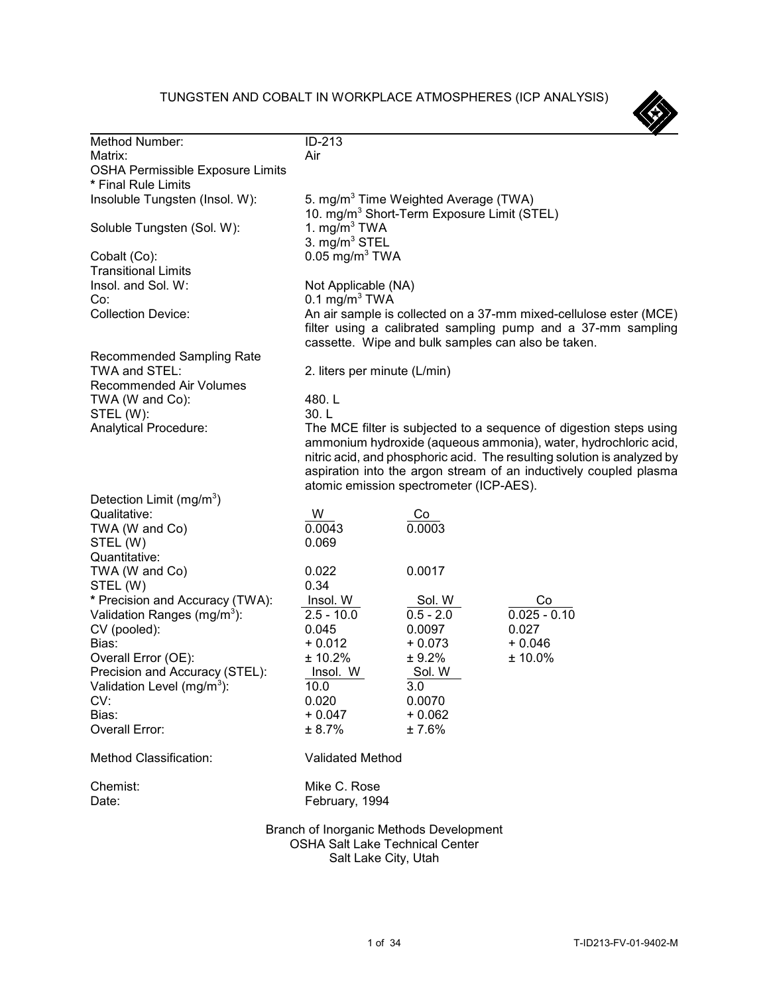# TUNGSTEN AND COBALT IN WORKPLACE ATMOSPHERES (ICP ANALYSIS)



| Method Number:                          | ID-213                                                                     |                                                                                                            |                                                                         |
|-----------------------------------------|----------------------------------------------------------------------------|------------------------------------------------------------------------------------------------------------|-------------------------------------------------------------------------|
| Matrix:                                 | Air                                                                        |                                                                                                            |                                                                         |
| <b>OSHA Permissible Exposure Limits</b> |                                                                            |                                                                                                            |                                                                         |
| * Final Rule Limits                     |                                                                            |                                                                                                            |                                                                         |
| Insoluble Tungsten (Insol. W):          |                                                                            | 5. mg/m <sup>3</sup> Time Weighted Average (TWA)<br>10. mg/m <sup>3</sup> Short-Term Exposure Limit (STEL) |                                                                         |
| Soluble Tungsten (Sol. W):              | 1. $mg/m3 TWA$<br>3. mg/m <sup>3</sup> STEL                                |                                                                                                            |                                                                         |
| Cobalt (Co):                            | $0.05$ mg/m <sup>3</sup> TWA                                               |                                                                                                            |                                                                         |
| <b>Transitional Limits</b>              |                                                                            |                                                                                                            |                                                                         |
| Insol. and Sol. W:                      | Not Applicable (NA)                                                        |                                                                                                            |                                                                         |
| Co:                                     | $0.1 \text{ mg/m}^3$ TWA                                                   |                                                                                                            |                                                                         |
| <b>Collection Device:</b>               |                                                                            |                                                                                                            | An air sample is collected on a 37-mm mixed-cellulose ester (MCE)       |
|                                         |                                                                            |                                                                                                            | filter using a calibrated sampling pump and a 37-mm sampling            |
|                                         |                                                                            | cassette. Wipe and bulk samples can also be taken.                                                         |                                                                         |
| Recommended Sampling Rate               |                                                                            |                                                                                                            |                                                                         |
| TWA and STEL:                           | 2. liters per minute (L/min)                                               |                                                                                                            |                                                                         |
| <b>Recommended Air Volumes</b>          |                                                                            |                                                                                                            |                                                                         |
| TWA (W and Co):                         | 480.L                                                                      |                                                                                                            |                                                                         |
| STEL (W):                               | 30. L                                                                      |                                                                                                            |                                                                         |
| Analytical Procedure:                   | The MCE filter is subjected to a sequence of digestion steps using         |                                                                                                            |                                                                         |
|                                         |                                                                            |                                                                                                            | ammonium hydroxide (aqueous ammonia), water, hydrochloric acid,         |
|                                         |                                                                            |                                                                                                            | nitric acid, and phosphoric acid. The resulting solution is analyzed by |
|                                         |                                                                            |                                                                                                            | aspiration into the argon stream of an inductively coupled plasma       |
|                                         |                                                                            | atomic emission spectrometer (ICP-AES).                                                                    |                                                                         |
| Detection Limit (mg/m <sup>3</sup> )    |                                                                            |                                                                                                            |                                                                         |
| Qualitative:                            | W                                                                          | Co                                                                                                         |                                                                         |
| TWA (W and Co)                          | 0.0043                                                                     | 0.0003                                                                                                     |                                                                         |
| STEL (W)                                | 0.069                                                                      |                                                                                                            |                                                                         |
| Quantitative:                           |                                                                            |                                                                                                            |                                                                         |
| TWA (W and Co)                          | 0.022                                                                      | 0.0017                                                                                                     |                                                                         |
| STEL (W)                                | 0.34                                                                       |                                                                                                            |                                                                         |
| * Precision and Accuracy (TWA):         | Insol. W                                                                   | Sol. W                                                                                                     | Co                                                                      |
| Validation Ranges (mg/m <sup>3</sup> ): | $2.5 - 10.0$                                                               | $0.5 - 2.0$                                                                                                | $0.025 - 0.10$                                                          |
| CV (pooled):                            | 0.045                                                                      | 0.0097                                                                                                     | 0.027                                                                   |
| Bias:                                   | $+0.012$                                                                   | $+0.073$                                                                                                   | $+0.046$                                                                |
| Overall Error (OE):                     | ± 10.2%                                                                    | ± 9.2%                                                                                                     | ± 10.0%                                                                 |
| Precision and Accuracy (STEL):          | Insol. W                                                                   | Sol. W                                                                                                     |                                                                         |
| Validation Level (mg/m <sup>3</sup> ):  | 10.0                                                                       | 3.0                                                                                                        |                                                                         |
| CV:                                     | 0.020                                                                      | 0.0070                                                                                                     |                                                                         |
| Bias:                                   | $+0.047$                                                                   | $+0.062$                                                                                                   |                                                                         |
| Overall Error:                          | $± 8.7\%$                                                                  | ±7.6%                                                                                                      |                                                                         |
| <b>Method Classification:</b>           | <b>Validated Method</b>                                                    |                                                                                                            |                                                                         |
| Chemist:                                | Mike C. Rose                                                               |                                                                                                            |                                                                         |
| Date:                                   | February, 1994                                                             |                                                                                                            |                                                                         |
|                                         |                                                                            |                                                                                                            |                                                                         |
|                                         | Branch of Inorganic Methods Development<br>OCUA Colt Loke Tophnical Conter |                                                                                                            |                                                                         |

OSHA Salt Lake Technical Center Salt Lake City, Utah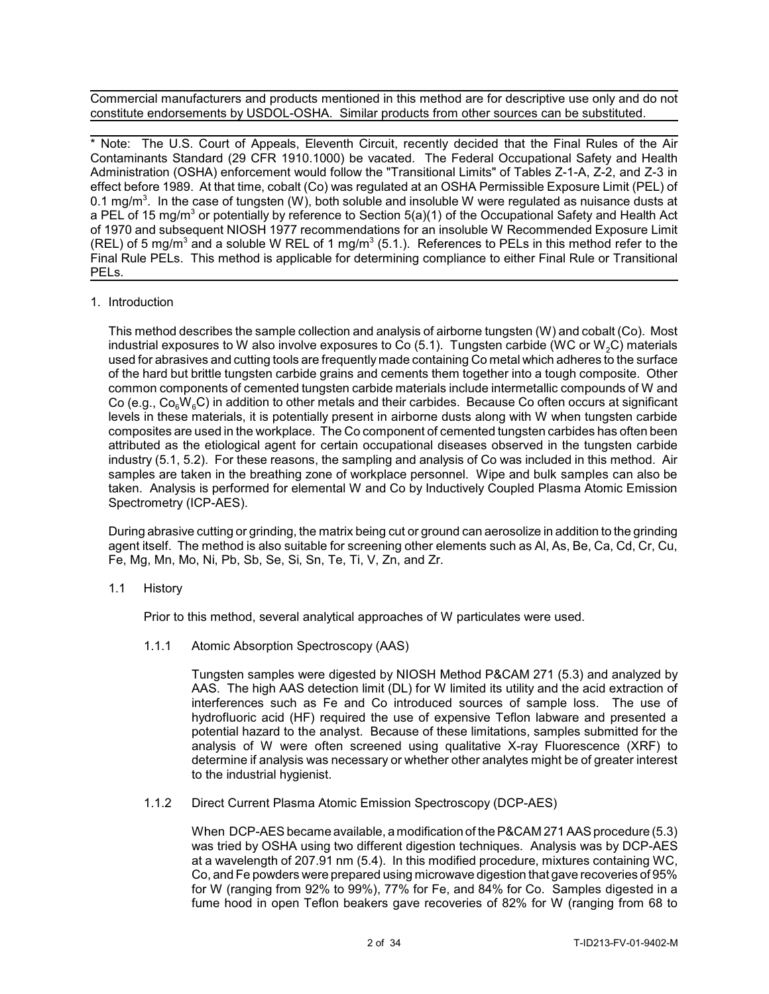Commercial manufacturers and products mentioned in this method are for descriptive use only and do not constitute endorsements by USDOL-OSHA. Similar products from other sources can be substituted.

\* Note: The U.S. Court of Appeals, Eleventh Circuit, recently decided that the Final Rules of the Air Contaminants Standard (29 CFR 1910.1000) be vacated. The Federal Occupational Safety and Health Administration (OSHA) enforcement would follow the "Transitional Limits" of Tables Z-1-A, Z-2, and Z-3 in effect before 1989. At that time, cobalt (Co) was regulated at an OSHA Permissible Exposure Limit (PEL) of 0.1 mg/m<sup>3</sup>. In the case of tungsten (W), both soluble and insoluble W were regulated as nuisance dusts at a PEL of 15 mg/m $^3$  or potentially by reference to Section 5(a)(1) of the Occupational Safety and Health Act of 1970 and subsequent NIOSH 1977 recommendations for an insoluble W Recommended Exposure Limit (REL) of 5 mg/m $^3$  and a soluble W REL of 1 mg/m $^3$  (5.1.). References to PELs in this method refer to the Final Rule PELs. This method is applicable for determining compliance to either Final Rule or Transitional PELs.

1. Introduction

This method describes the sample collection and analysis of airborne tungsten (W) and cobalt (Co). Most industrial exposures to W also involve exposures to Co (5.1). Tungsten carbide (WC or W<sub>2</sub>C) materials used for abrasives and cutting tools are frequently made containing Co metal which adheres to the surface of the hard but brittle tungsten carbide grains and cements them together into a tough composite. Other common components of cemented tungsten carbide materials include intermetallic compounds of W and Co (e.g.,  $Co<sub>e</sub>W<sub>e</sub>C$ ) in addition to other metals and their carbides. Because Co often occurs at significant levels in these materials, it is potentially present in airborne dusts along with W when tungsten carbide composites are used in the workplace. The Co component of cemented tungsten carbides has often been attributed as the etiological agent for certain occupational diseases observed in the tungsten carbide industry (5.1, 5.2). For these reasons, the sampling and analysis of Co was included in this method. Air samples are taken in the breathing zone of workplace personnel. Wipe and bulk samples can also be taken. Analysis is performed for elemental W and Co by Inductively Coupled Plasma Atomic Emission Spectrometry (ICP-AES).

During abrasive cutting or grinding, the matrix being cut or ground can aerosolize in addition to the grinding agent itself. The method is also suitable for screening other elements such as Al, As, Be, Ca, Cd, Cr, Cu, Fe, Mg, Mn, Mo, Ni, Pb, Sb, Se, Si, Sn, Te, Ti, V, Zn, and Zr.

1.1 History

Prior to this method, several analytical approaches of W particulates were used.

1.1.1 Atomic Absorption Spectroscopy (AAS)

Tungsten samples were digested by NIOSH Method P&CAM 271 (5.3) and analyzed by AAS. The high AAS detection limit (DL) for W limited its utility and the acid extraction of interferences such as Fe and Co introduced sources of sample loss. The use of hydrofluoric acid (HF) required the use of expensive Teflon labware and presented a potential hazard to the analyst. Because of these limitations, samples submitted for the analysis of W were often screened using qualitative X-ray Fluorescence (XRF) to determine if analysis was necessary or whether other analytes might be of greater interest to the industrial hygienist.

1.1.2 Direct Current Plasma Atomic Emission Spectroscopy (DCP-AES)

When DCP-AES became available, a modification of the P&CAM 271 AAS procedure (5.3) was tried by OSHA using two different digestion techniques. Analysis was by DCP-AES at a wavelength of 207.91 nm (5.4). In this modified procedure, mixtures containing WC, Co, and Fe powders were prepared using microwave digestion that gave recoveries of 95% for W (ranging from 92% to 99%), 77% for Fe, and 84% for Co. Samples digested in a fume hood in open Teflon beakers gave recoveries of 82% for W (ranging from 68 to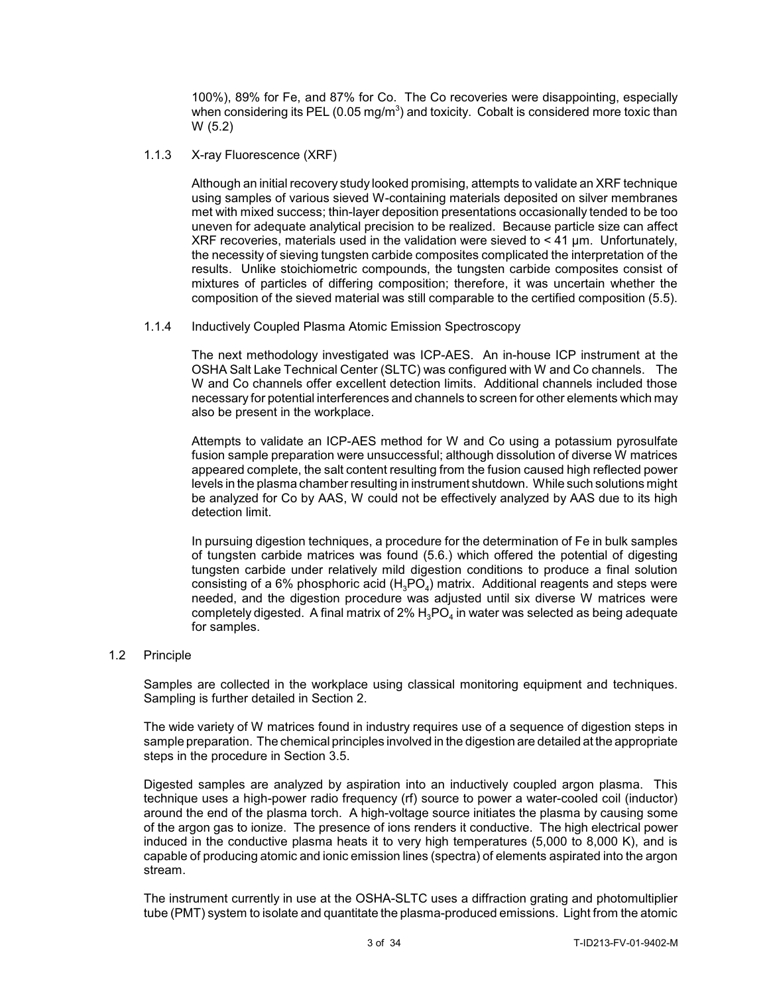100%), 89% for Fe, and 87% for Co. The Co recoveries were disappointing, especially when considering its PEL (0.05 mg/m $^3$ ) and toxicity.  $\,$  Cobalt is considered more toxic than W (5.2)

1.1.3 X-ray Fluorescence (XRF)

Although an initial recovery study looked promising, attempts to validate an XRF technique using samples of various sieved W-containing materials deposited on silver membranes met with mixed success; thin-layer deposition presentations occasionally tended to be too uneven for adequate analytical precision to be realized. Because particle size can affect XRF recoveries, materials used in the validation were sieved to  $\leq 41$  µm. Unfortunately, the necessity of sieving tungsten carbide composites complicated the interpretation of the results. Unlike stoichiometric compounds, the tungsten carbide composites consist of mixtures of particles of differing composition; therefore, it was uncertain whether the composition of the sieved material was still comparable to the certified composition (5.5).

1.1.4 Inductively Coupled Plasma Atomic Emission Spectroscopy

The next methodology investigated was ICP-AES. An in-house ICP instrument at the OSHA Salt Lake Technical Center (SLTC) was configured with W and Co channels. The W and Co channels offer excellent detection limits. Additional channels included those necessary for potential interferences and channels to screen for other elements which may also be present in the workplace.

Attempts to validate an ICP-AES method for W and Co using a potassium pyrosulfate fusion sample preparation were unsuccessful; although dissolution of diverse W matrices appeared complete, the salt content resulting from the fusion caused high reflected power levels in the plasma chamber resulting in instrument shutdown. While such solutions might be analyzed for Co by AAS, W could not be effectively analyzed by AAS due to its high detection limit.

In pursuing digestion techniques, a procedure for the determination of Fe in bulk samples of tungsten carbide matrices was found (5.6.) which offered the potential of digesting tungsten carbide under relatively mild digestion conditions to produce a final solution consisting of a 6% phosphoric acid (H<sub>3</sub>PO<sub>4</sub>) matrix. Additional reagents and steps were needed, and the digestion procedure was adjusted until six diverse W matrices were completely digested. A final matrix of 2%  ${\rm H_3PO_4}$  in water was selected as being adequate for samples.

## 1.2 Principle

Samples are collected in the workplace using classical monitoring equipment and techniques. Sampling is further detailed in Section 2.

The wide variety of W matrices found in industry requires use of a sequence of digestion steps in sample preparation. The chemical principles involved in the digestion are detailed at the appropriate steps in the procedure in Section 3.5.

Digested samples are analyzed by aspiration into an inductively coupled argon plasma. This technique uses a high-power radio frequency (rf) source to power a water-cooled coil (inductor) around the end of the plasma torch. A high-voltage source initiates the plasma by causing some of the argon gas to ionize. The presence of ions renders it conductive. The high electrical power induced in the conductive plasma heats it to very high temperatures  $(5,000$  to  $8,000$  K), and is capable of producing atomic and ionic emission lines (spectra) of elements aspirated into the argon stream.

The instrument currently in use at the OSHA-SLTC uses a diffraction grating and photomultiplier tube (PMT) system to isolate and quantitate the plasma-produced emissions. Light from the atomic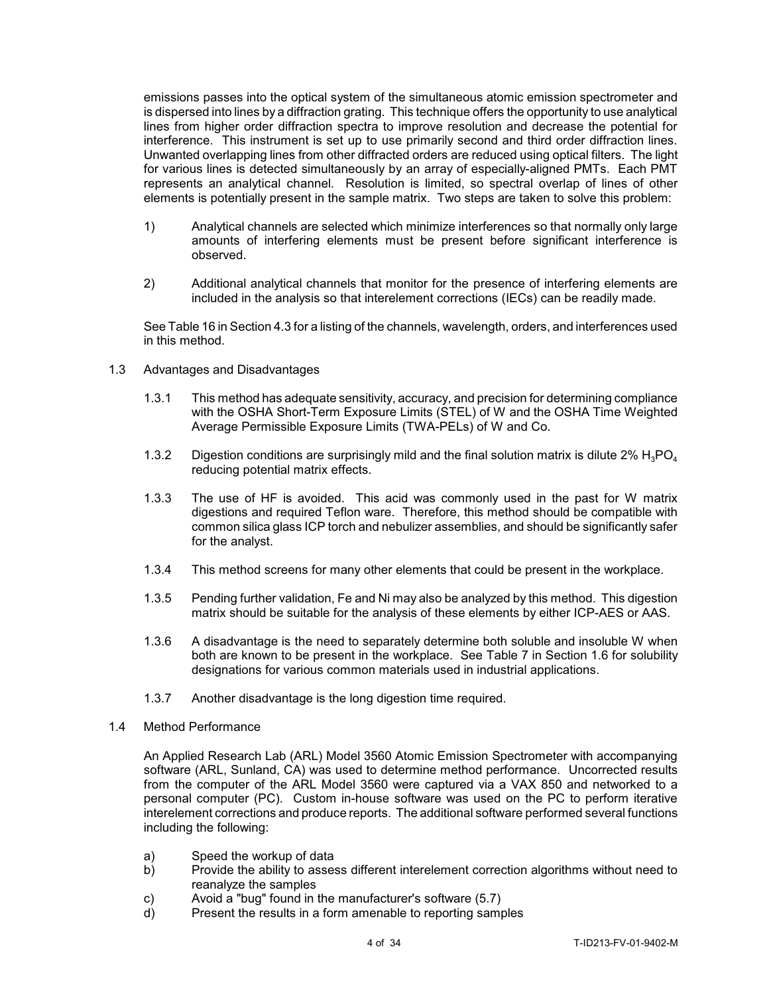emissions passes into the optical system of the simultaneous atomic emission spectrometer and is dispersed into lines by a diffraction grating. This technique offers the opportunity to use analytical lines from higher order diffraction spectra to improve resolution and decrease the potential for interference. This instrument is set up to use primarily second and third order diffraction lines. Unwanted overlapping lines from other diffracted orders are reduced using optical filters. The light for various lines is detected simultaneously by an array of especially-aligned PMTs. Each PMT represents an analytical channel. Resolution is limited, so spectral overlap of lines of other elements is potentially present in the sample matrix. Two steps are taken to solve this problem:

- 1) Analytical channels are selected which minimize interferences so that normally only large amounts of interfering elements must be present before significant interference is observed.
- 2) Additional analytical channels that monitor for the presence of interfering elements are included in the analysis so that interelement corrections (IECs) can be readily made.

See Table 16 in Section 4.3 for a listing of the channels, wavelength, orders, and interferences used in this method.

- 1.3 Advantages and Disadvantages
	- 1.3.1 This method has adequate sensitivity, accuracy, and precision for determining compliance with the OSHA Short-Term Exposure Limits (STEL) of W and the OSHA Time Weighted Average Permissible Exposure Limits (TWA-PELs) of W and Co.
	- 1.3.2 Digestion conditions are surprisingly mild and the final solution matrix is dilute 2%  $H_3PO_4$ reducing potential matrix effects.
	- 1.3.3 The use of HF is avoided. This acid was commonly used in the past for W matrix digestions and required Teflon ware. Therefore, this method should be compatible with common silica glass ICP torch and nebulizer assemblies, and should be significantly safer for the analyst.
	- 1.3.4 This method screens for many other elements that could be present in the workplace.
	- 1.3.5 Pending further validation, Fe and Ni may also be analyzed by this method. This digestion matrix should be suitable for the analysis of these elements by either ICP-AES or AAS.
	- 1.3.6 A disadvantage is the need to separately determine both soluble and insoluble W when both are known to be present in the workplace. See Table 7 in Section 1.6 for solubility designations for various common materials used in industrial applications.
	- 1.3.7 Another disadvantage is the long digestion time required.
- 1.4 Method Performance

An Applied Research Lab (ARL) Model 3560 Atomic Emission Spectrometer with accompanying software (ARL, Sunland, CA) was used to determine method performance. Uncorrected results from the computer of the ARL Model 3560 were captured via a VAX 850 and networked to a personal computer (PC). Custom in-house software was used on the PC to perform iterative interelement corrections and produce reports. The additional software performed several functions including the following:

- a) Speed the workup of data
- b) Provide the ability to assess different interelement correction algorithms without need to reanalyze the samples
- c) Avoid a "bug" found in the manufacturer's software (5.7)
- d) Present the results in a form amenable to reporting samples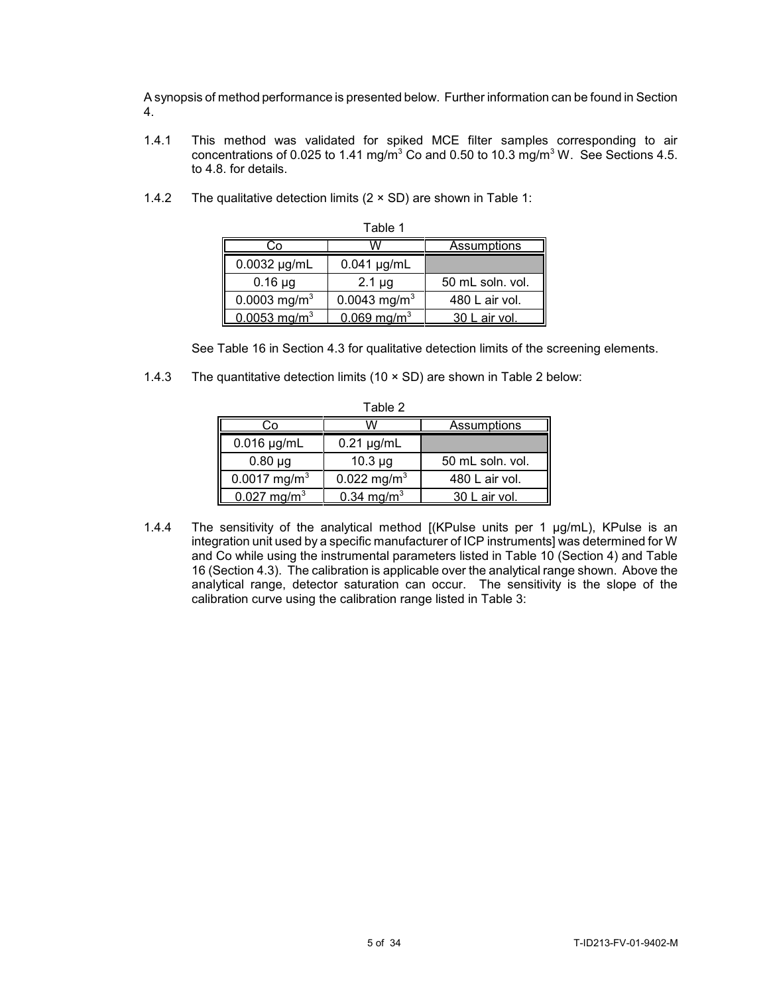A synopsis of method performance is presented below. Further information can be found in Section 4.

1.4.1 This method was validated for spiked MCE filter samples corresponding to air concentrations of 0.025 to 1.41 mg/m $^3$  Co and 0.50 to 10.3 mg/m $^3$  W. See Sections 4.5. to 4.8. for details.

| Table 1                    |                          |                  |  |  |
|----------------------------|--------------------------|------------------|--|--|
|                            |                          | Assumptions      |  |  |
| 0.0032 µg/mL               | $0.041$ µg/mL            |                  |  |  |
| $0.16 \mu g$               | $2.1 \mu g$              | 50 mL soln, vol. |  |  |
| 0.0003 mg/m <sup>3</sup>   | 0.0043 mg/m <sup>3</sup> | 480 L air vol.   |  |  |
| $0.0053$ mg/m <sup>3</sup> | 0.069 mg/m <sup>3</sup>  | 30 L air vol.    |  |  |

1.4.2 The qualitative detection limits  $(2 \times SD)$  are shown in Table 1:

See Table 16 in Section 4.3 for qualitative detection limits of the screening elements.

1.4.3 The quantitative detection limits (10 × SD) are shown in Table 2 below:

| Table 2                   |                         |                    |  |
|---------------------------|-------------------------|--------------------|--|
| CΟ                        |                         | <b>Assumptions</b> |  |
| $0.016$ µg/mL             | $0.21 \mu g/mL$         |                    |  |
| $0.80 \mu g$              | $10.3 \mu g$            | 50 mL soln. vol.   |  |
| 0.0017 mg/m <sup>3</sup>  | 0.022 mg/m <sup>3</sup> | 480 L air vol.     |  |
| $0.027$ mg/m <sup>3</sup> | $0.34 \text{ mg/m}^3$   | 30 L air vol.      |  |

1.4.4 The sensitivity of the analytical method [(KPulse units per 1 µg/mL), KPulse is an integration unit used by a specific manufacturer of ICP instruments] was determined for W and Co while using the instrumental parameters listed in Table 10 (Section 4) and Table 16 (Section 4.3). The calibration is applicable over the analytical range shown. Above the analytical range, detector saturation can occur. The sensitivity is the slope of the calibration curve using the calibration range listed in Table 3: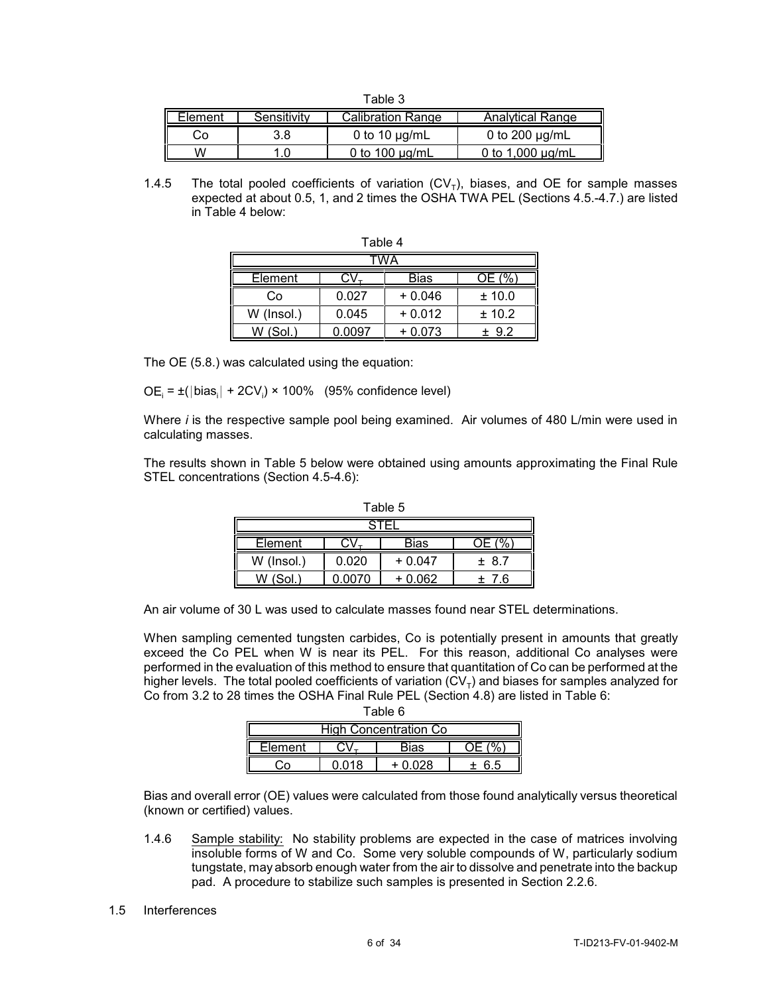|         |             | Table 3                  |                       |
|---------|-------------|--------------------------|-----------------------|
| Element | Sensitivity | <b>Calibration Range</b> | Analytical Range      |
| ەت      | 3.8         | 0 to 10 $\mu$ g/mL       | 0 to 200 $\mu$ g/mL   |
| w       | 1 በ         | 0 to $100 \mu$           | 0 to $1.000 \mu$ a/mL |

1.4.5 The total pooled coefficients of variation  $(CV_T)$ , biases, and OE for sample masses expected at about 0.5, 1, and 2 times the OSHA TWA PEL (Sections 4.5.-4.7.) are listed in Table 4 below:

| Table 4                |        |          |        |  |
|------------------------|--------|----------|--------|--|
|                        |        |          |        |  |
| <b>Bias</b><br>Element |        |          |        |  |
| Co                     | 0.027  | $+0.046$ | ± 10.0 |  |
| W (Insol.)             | 0.045  | $+0.012$ | ± 10.2 |  |
|                        | 0.0097 | $+0.073$ | 92     |  |

The OE (5.8.) was calculated using the equation:

 $OE_i = \pm (|\text{bias}_i| + 2CV_i) \times 100\%$  (95% confidence level)

Where *i* is the respective sample pool being examined. Air volumes of 480 L/min were used in calculating masses.

The results shown in Table 5 below were obtained using amounts approximating the Final Rule STEL concentrations (Section 4.5-4.6):

| Table 5         |                            |          |    |  |  |
|-----------------|----------------------------|----------|----|--|--|
|                 |                            |          |    |  |  |
| Bias<br>Element |                            |          |    |  |  |
| W (Insol.)      | 0.020<br>$+0.047$<br>± 8.7 |          |    |  |  |
| Sol.<br>W.      | Ი ᲘᲘ7Ი                     | $+0.062$ | ิค |  |  |

An air volume of 30 L was used to calculate masses found near STEL determinations.

When sampling cemented tungsten carbides, Co is potentially present in amounts that greatly exceed the Co PEL when W is near its PEL. For this reason, additional Co analyses were performed in the evaluation of this method to ensure that quantitation of Co can be performed at the higher levels. The total pooled coefficients of variation (CV<sub>T</sub>) and biases for samples analyzed for Co from 3.2 to 28 times the OSHA Final Rule PEL (Section 4.8) are listed in Table 6:  $T \times 1 + 6$ 

| l able 6                     |  |  |  |  |
|------------------------------|--|--|--|--|
| <b>High Concentration Co</b> |  |  |  |  |
| ∶lement<br>Bias              |  |  |  |  |
|                              |  |  |  |  |

Bias and overall error (OE) values were calculated from those found analytically versus theoretical (known or certified) values.

1.4.6 Sample stability: No stability problems are expected in the case of matrices involving insoluble forms of W and Co. Some very soluble compounds of W, particularly sodium tungstate, may absorb enough water from the air to dissolve and penetrate into the backup pad. A procedure to stabilize such samples is presented in Section 2.2.6.

### 1.5 Interferences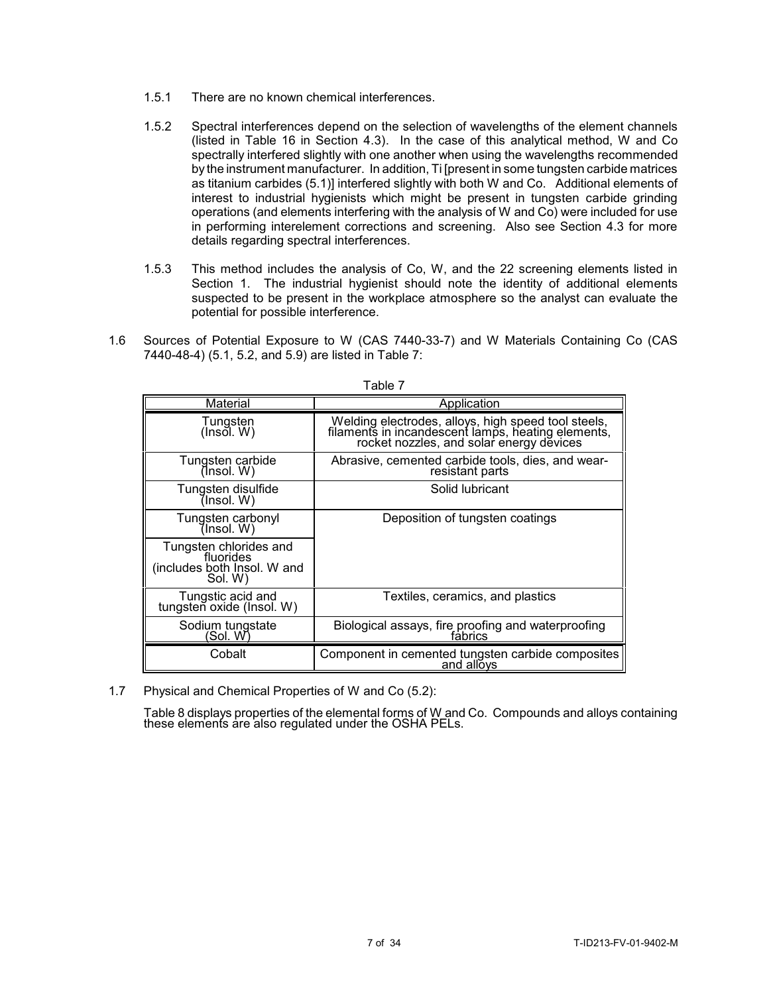- 1.5.1 There are no known chemical interferences.
- 1.5.2 Spectral interferences depend on the selection of wavelengths of the element channels (listed in Table 16 in Section 4.3). In the case of this analytical method, W and Co spectrally interfered slightly with one another when using the wavelengths recommended by the instrument manufacturer. In addition, Ti [present in some tungsten carbide matrices as titanium carbides (5.1)] interfered slightly with both W and Co. Additional elements of interest to industrial hygienists which might be present in tungsten carbide grinding operations (and elements interfering with the analysis of W and Co) were included for use in performing interelement corrections and screening. Also see Section 4.3 for more details regarding spectral interferences.
- 1.5.3 This method includes the analysis of Co, W, and the 22 screening elements listed in Section 1. The industrial hygienist should note the identity of additional elements suspected to be present in the workplace atmosphere so the analyst can evaluate the potential for possible interference.
- 1.6 Sources of Potential Exposure to W (CAS 7440-33-7) and W Materials Containing Co (CAS 7440-48-4) (5.1, 5.2, and 5.9) are listed in Table 7:

| Material                                                                      | Application                                                                                                                                           |
|-------------------------------------------------------------------------------|-------------------------------------------------------------------------------------------------------------------------------------------------------|
| Tungsten<br>(Insol. W)                                                        | Welding electrodes, alloys, high speed tool steels,<br>filaments in incandescent lamps, heating elements,<br>rocket nozzles, and solar energy devices |
| Tungsten carbide<br>(Insol. W)                                                | Abrasive, cemented carbide tools, dies, and wear-<br>resistant parts                                                                                  |
| Tungsten disulfide<br>(Insol. W)                                              | Solid lubricant                                                                                                                                       |
| Tungsten carbonyl<br>$($ lnsol. W $)$                                         | Deposition of tungsten coatings                                                                                                                       |
| Tungsten chlorides and<br>fluorides<br>(includes both Insol. W and<br>Sol. W) |                                                                                                                                                       |
| Tungstic acid and<br>tungsten oxide (Insol. W)                                | Textiles, ceramics, and plastics                                                                                                                      |
| Sodium tungstate<br>(Sol. W)                                                  | Biological assays, fire proofing and waterproofing<br>fabrics                                                                                         |
| Cobalt                                                                        | Component in cemented tungsten carbide composites<br>and alloys                                                                                       |

Table 7

1.7 Physical and Chemical Properties of W and Co (5.2):

Table 8 displays properties of the elemental forms of W and Co. Compounds and alloys containing these elements are also regulated under the OSHA PELs.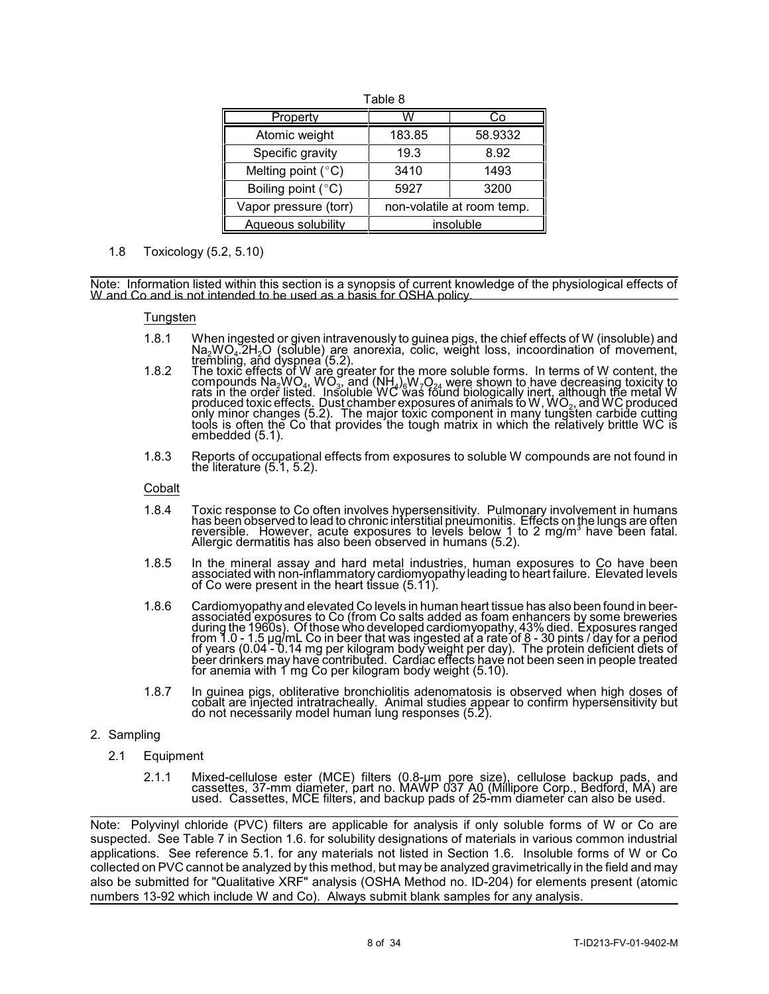| Property                    |                            | ි0      |
|-----------------------------|----------------------------|---------|
| Atomic weight               | 183.85                     | 58.9332 |
| Specific gravity            | 19.3                       | 8.92    |
| Melting point $(^{\circ}C)$ | 3410                       | 1493    |
| Boiling point $(^\circ C)$  | 5927                       | 3200    |
| Vapor pressure (torr)       | non-volatile at room temp. |         |
| <b>Aqueous solubility</b>   | insoluble                  |         |

### 1.8 Toxicology (5.2, 5.10)

Note: Information listed within this section is a synopsis of current knowledge of the physiological effects of W and Co and is not intended to be used as a basis for OSHA policy.

### **Tungsten**

- 1.8.1 When ingested or given intravenously to guinea pigs, the chief effects of W (insoluble) and Na<sub>2</sub>WO<sub>4</sub>.2H<sub>2</sub>O (soluble) are anorexia, colic, weight loss, incoordination of movement,<br><u>tr</u>embling, and dyspnea (5.2).
- 1.8.2 The toxic effects of W are greater for the more soluble forms. In terms of W content, the compounds Na2WO<sup>4</sup> , WO<sup>3</sup> , and (NH<sup>4</sup> )6W7O<sup>24</sup> were shown to have decreasing toxicity to rats in the order listed. Insoluble WC was found biologically inert, although the metal W produced toxic effects. Dust chamber exposures of animals to W, WO<sup>2</sup> , and WC produced only minor changes (5.2). The major toxic component in many tungsten carbide cutting tools is often the Co that provides the tough matrix in which the relatively brittle WC is embedded (5.1).
- 1.8.3 Reports of occupational effects from exposures to soluble W compounds are not found in the literature  $(5.1, 5.2)$ .

#### Cobalt

- 1.8.4 Toxic response to Co often involves hypersensitivity. Pulmonary involvement in humans has been observed to lead to chronic interstitial pneumonitis. Effects on the lungs are often<br>reversible. However, acute exposures to levels below 1 to 2 mg/m<sup>3</sup> have been fatal. Allergic dermatitis has also been observed in humans (5.2).
- 1.8.5 In the mineral assay and hard metal industries, human exposures to Co have been associated with non-inflammatory cardiomyopathy leading to heart failure. Elevated levels of Co were present in the heart tissue (5.11).
- 1.8.6 Cardiomyopathyand elevated Co levels in human heart tissue has also been found in beerassociated exposures to Co (from Co salts added as foam enhancers by some breweries during the 1960s). Of those who developed cardiomyopathy, 43% died. Exposures ranged from 1.0 - 1.5 µg/mL Co in beer that was ingested at a rate of 8 - 30 pints / day for a period of years (0.04 - 0.14 mg per kilogram body weight per day). The protein deficient diets of beer drinkers may have contributed. Cardiac effects have not been seen in people treated for anemia with 1 mg Co per kilogram body weight (5.10).
- 1.8.7 In guinea pigs, obliterative bronchiolitis adenomatosis is observed when high doses of cobalt are injected intratracheally. Animal studies appear to confirm hypersensitivity but do not neceśsarily model humań lung responses (5.2).

#### 2. Sampling

- 2.1 Equipment
	- 2.1.1 Mixed-cellulose ester (MCE) filters (0.8-µm pore size), cellulose backup pads, and cassettes, 37-mm diameter, part no. MAWP 037 A0 (Millipore Corp., Bedford, MA) are used. Cassettes, MCE filters, and backup pads of 25-mm diameter can also be used.

Note: Polyvinyl chloride (PVC) filters are applicable for analysis if only soluble forms of W or Co are suspected. See Table 7 in Section 1.6. for solubility designations of materials in various common industrial applications. See reference 5.1. for any materials not listed in Section 1.6. Insoluble forms of W or Co collected on PVC cannot be analyzed by this method, but may be analyzed gravimetrically in the field and may also be submitted for "Qualitative XRF" analysis (OSHA Method no. ID-204) for elements present (atomic numbers 13-92 which include W and Co). Always submit blank samples for any analysis.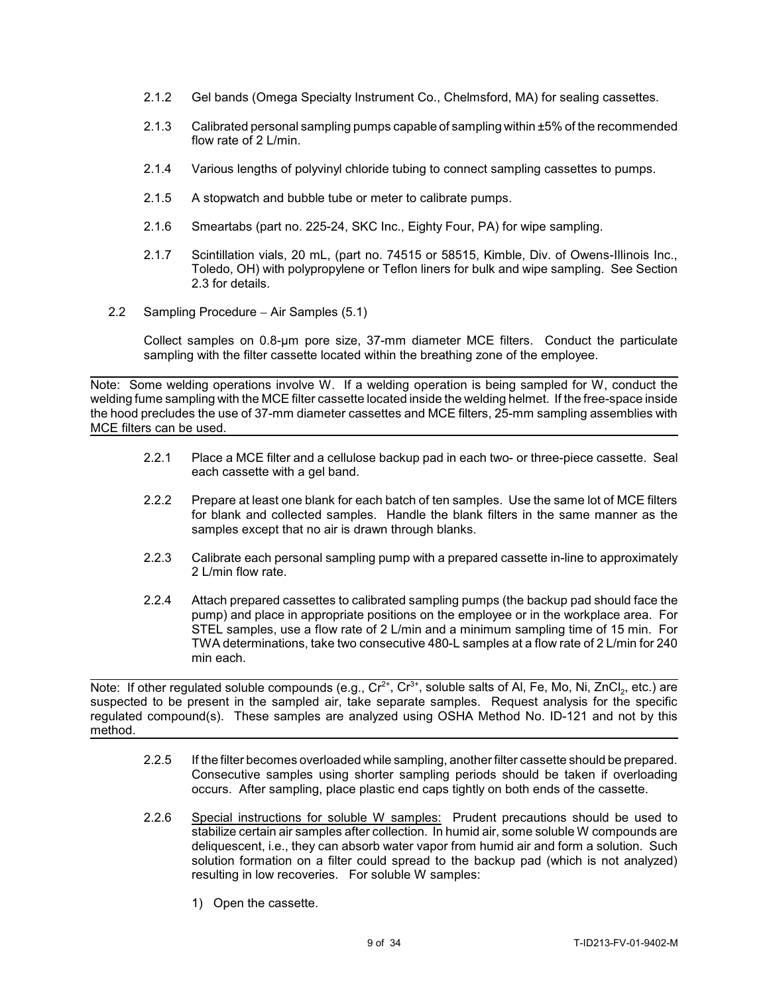- 2.1.2 Gel bands (Omega Specialty Instrument Co., Chelmsford, MA) for sealing cassettes.
- 2.1.3 Calibrated personal sampling pumps capable of sampling within ±5% of the recommended flow rate of 2 L/min.
- 2.1.4 Various lengths of polyvinyl chloride tubing to connect sampling cassettes to pumps.
- 2.1.5 A stopwatch and bubble tube or meter to calibrate pumps.
- 2.1.6 Smeartabs (part no. 225-24, SKC Inc., Eighty Four, PA) for wipe sampling.
- 2.1.7 Scintillation vials, 20 mL, (part no. 74515 or 58515, Kimble, Div. of Owens-Illinois Inc., Toledo, OH) with polypropylene or Teflon liners for bulk and wipe sampling. See Section 2.3 for details.
- 2.2 Sampling Procedure Air Samples  $(5.1)$

Collect samples on 0.8-µm pore size, 37-mm diameter MCE filters. Conduct the particulate sampling with the filter cassette located within the breathing zone of the employee.

Note: Some welding operations involve W. If a welding operation is being sampled for W, conduct the welding fume sampling with the MCE filter cassette located inside the welding helmet. If the free-space inside the hood precludes the use of 37-mm diameter cassettes and MCE filters, 25-mm sampling assemblies with MCE filters can be used.

- 2.2.1 Place a MCE filter and a cellulose backup pad in each two- or three-piece cassette. Seal each cassette with a gel band.
- 2.2.2 Prepare at least one blank for each batch of ten samples. Use the same lot of MCE filters for blank and collected samples. Handle the blank filters in the same manner as the samples except that no air is drawn through blanks.
- 2.2.3 Calibrate each personal sampling pump with a prepared cassette in-line to approximately 2 L/min flow rate.
- 2.2.4 Attach prepared cassettes to calibrated sampling pumps (the backup pad should face the pump) and place in appropriate positions on the employee or in the workplace area. For STEL samples, use a flow rate of 2 L/min and a minimum sampling time of 15 min. For TWA determinations, take two consecutive 480-L samples at a flow rate of 2 L/min for 240 min each.

Note: If other regulated soluble compounds (e.g., Cr $^{2+}$ , Cr $^{3+}$ , soluble salts of Al, Fe, Mo, Ni, ZnCl<sub>2</sub>, etc.) are suspected to be present in the sampled air, take separate samples. Request analysis for the specific regulated compound(s). These samples are analyzed using OSHA Method No. ID-121 and not by this method.

- 2.2.5 If the filter becomes overloaded while sampling, another filter cassette should be prepared. Consecutive samples using shorter sampling periods should be taken if overloading occurs. After sampling, place plastic end caps tightly on both ends of the cassette.
- 2.2.6 Special instructions for soluble W samples: Prudent precautions should be used to stabilize certain air samples after collection. In humid air, some soluble W compounds are deliquescent, i.e., they can absorb water vapor from humid air and form a solution. Such solution formation on a filter could spread to the backup pad (which is not analyzed) resulting in low recoveries. For soluble W samples:
	- 1) Open the cassette.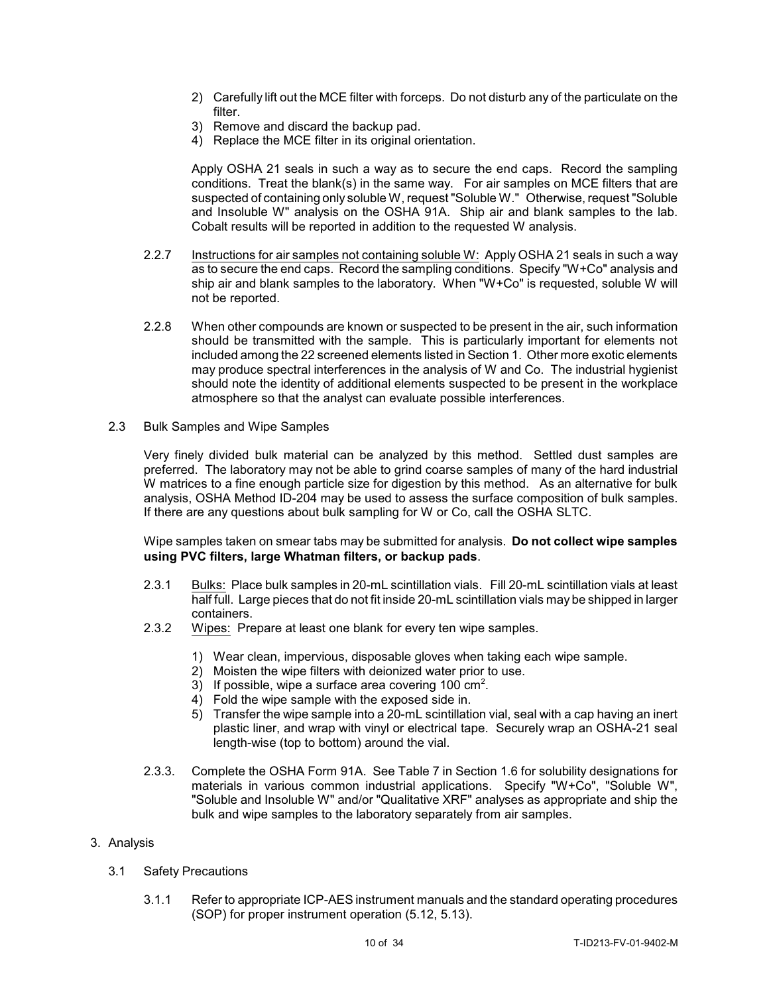- 2) Carefully lift out the MCE filter with forceps. Do not disturb any of the particulate on the filter.
- 3) Remove and discard the backup pad.
- 4) Replace the MCE filter in its original orientation.

Apply OSHA 21 seals in such a way as to secure the end caps. Record the sampling conditions. Treat the blank(s) in the same way. For air samples on MCE filters that are suspected of containing only soluble W, request "Soluble W." Otherwise, request "Soluble and Insoluble W" analysis on the OSHA 91A. Ship air and blank samples to the lab. Cobalt results will be reported in addition to the requested W analysis.

- 2.2.7 Instructions for air samples not containing soluble W: Apply OSHA 21 seals in such a way as to secure the end caps. Record the sampling conditions. Specify "W+Co" analysis and ship air and blank samples to the laboratory. When "W+Co" is requested, soluble W will not be reported.
- 2.2.8 When other compounds are known or suspected to be present in the air, such information should be transmitted with the sample. This is particularly important for elements not included among the 22 screened elements listed in Section 1. Other more exotic elements may produce spectral interferences in the analysis of W and Co. The industrial hygienist should note the identity of additional elements suspected to be present in the workplace atmosphere so that the analyst can evaluate possible interferences.
- 2.3 Bulk Samples and Wipe Samples

Very finely divided bulk material can be analyzed by this method. Settled dust samples are preferred. The laboratory may not be able to grind coarse samples of many of the hard industrial W matrices to a fine enough particle size for digestion by this method. As an alternative for bulk analysis, OSHA Method ID-204 may be used to assess the surface composition of bulk samples. If there are any questions about bulk sampling for W or Co, call the OSHA SLTC.

Wipe samples taken on smear tabs may be submitted for analysis. **Do not collect wipe samples using PVC filters, large Whatman filters, or backup pads**.

- 2.3.1 Bulks: Place bulk samples in 20-mL scintillation vials. Fill 20-mL scintillation vials at least half full. Large pieces that do not fit inside 20-mL scintillation vials may be shipped in larger containers.
- 2.3.2 Wipes: Prepare at least one blank for every ten wipe samples.
	- 1) Wear clean, impervious, disposable gloves when taking each wipe sample.
	- 2) Moisten the wipe filters with deionized water prior to use.
	- 3) If possible, wipe a surface area covering 100 cm<sup>2</sup>.
	- 4) Fold the wipe sample with the exposed side in.
	- 5) Transfer the wipe sample into a 20-mL scintillation vial, seal with a cap having an inert plastic liner, and wrap with vinyl or electrical tape. Securely wrap an OSHA-21 seal length-wise (top to bottom) around the vial.
- 2.3.3. Complete the OSHA Form 91A. See Table 7 in Section 1.6 for solubility designations for materials in various common industrial applications. Specify "W+Co", "Soluble W", "Soluble and Insoluble W" and/or "Qualitative XRF" analyses as appropriate and ship the bulk and wipe samples to the laboratory separately from air samples.

## 3. Analysis

- 3.1 Safety Precautions
	- 3.1.1 Refer to appropriate ICP-AES instrument manuals and the standard operating procedures (SOP) for proper instrument operation (5.12, 5.13).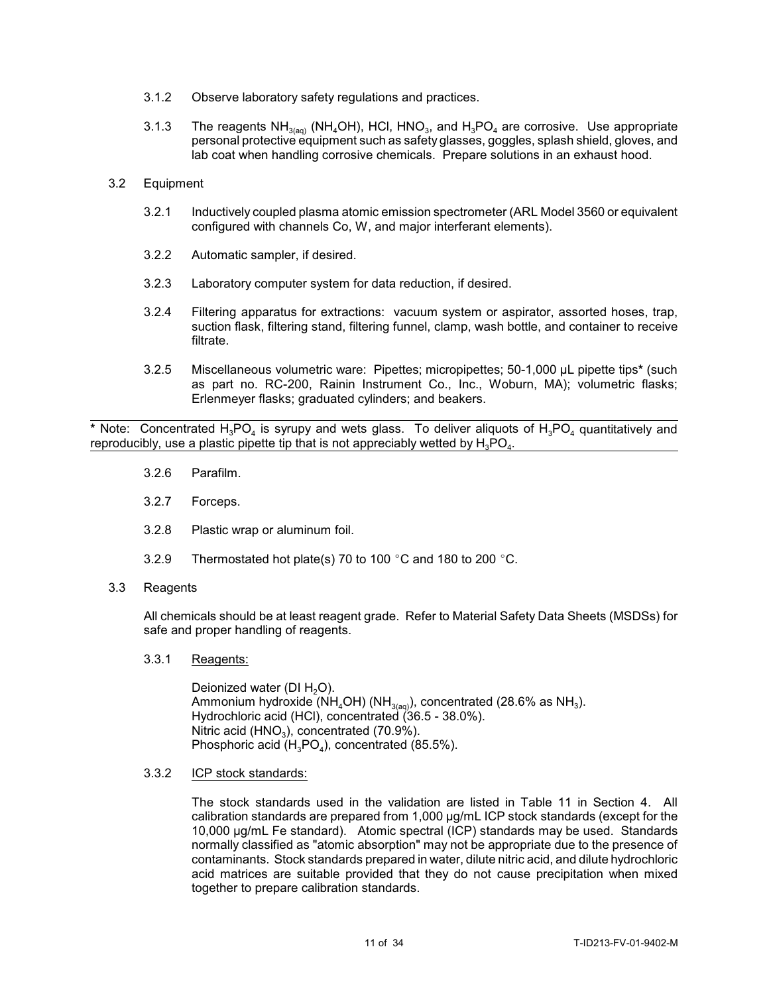- 3.1.2 Observe laboratory safety regulations and practices.
- 3.1.3 The reagents NH<sub>3(aq)</sub> (NH<sub>4</sub>OH), HCl, HNO<sub>3</sub>, and H<sub>3</sub>PO<sub>4</sub> are corrosive. Use appropriate personal protective equipment such as safety glasses, goggles, splash shield, gloves, and lab coat when handling corrosive chemicals. Prepare solutions in an exhaust hood.

### 3.2 Equipment

- 3.2.1 Inductively coupled plasma atomic emission spectrometer (ARL Model 3560 or equivalent configured with channels Co, W, and major interferant elements).
- 3.2.2 Automatic sampler, if desired.
- 3.2.3 Laboratory computer system for data reduction, if desired.
- 3.2.4 Filtering apparatus for extractions: vacuum system or aspirator, assorted hoses, trap, suction flask, filtering stand, filtering funnel, clamp, wash bottle, and container to receive filtrate.
- 3.2.5 Miscellaneous volumetric ware: Pipettes; micropipettes; 50-1,000 µL pipette tips**\*** (such as part no. RC-200, Rainin Instrument Co., Inc., Woburn, MA); volumetric flasks; Erlenmeyer flasks; graduated cylinders; and beakers.

\* Note: Concentrated H<sub>3</sub>PO<sub>4</sub> is syrupy and wets glass. To deliver aliquots of H<sub>3</sub>PO<sub>4</sub> quantitatively and reproducibly, use a plastic pipette tip that is not appreciably wetted by  ${\sf H_3PO_4}.$ 

- 3.2.6 Parafilm.
- 3.2.7 Forceps.
- 3.2.8 Plastic wrap or aluminum foil.
- 3.2.9 Thermostated hot plate(s) 70 to 100  $^{\circ}$ C and 180 to 200  $^{\circ}$ C.
- 3.3 Reagents

All chemicals should be at least reagent grade. Refer to Material Safety Data Sheets (MSDSs) for safe and proper handling of reagents.

3.3.1 Reagents:

Deionized water (DI  $H_2O$ ). Ammonium hydroxide (NH $_{\textrm{\tiny{4}}}$ OH) (NH $_{\textrm{\tiny{3(aq)}}}$ ), concentrated (28.6% as NH $_{\textrm{\tiny{3}}})$ . Hydrochloric acid (HCl), concentrated (36.5 - 38.0%). Nitric acid (HNO $_3$ ), concentrated (70.9%). Phosphoric acid  $(H_3PO_4)$ , concentrated (85.5%).

3.3.2 ICP stock standards:

The stock standards used in the validation are listed in Table 11 in Section 4. All calibration standards are prepared from 1,000 µg/mL ICP stock standards (except for the 10,000 µg/mL Fe standard). Atomic spectral (ICP) standards may be used. Standards normally classified as "atomic absorption" may not be appropriate due to the presence of contaminants. Stock standards prepared in water, dilute nitric acid, and dilute hydrochloric acid matrices are suitable provided that they do not cause precipitation when mixed together to prepare calibration standards.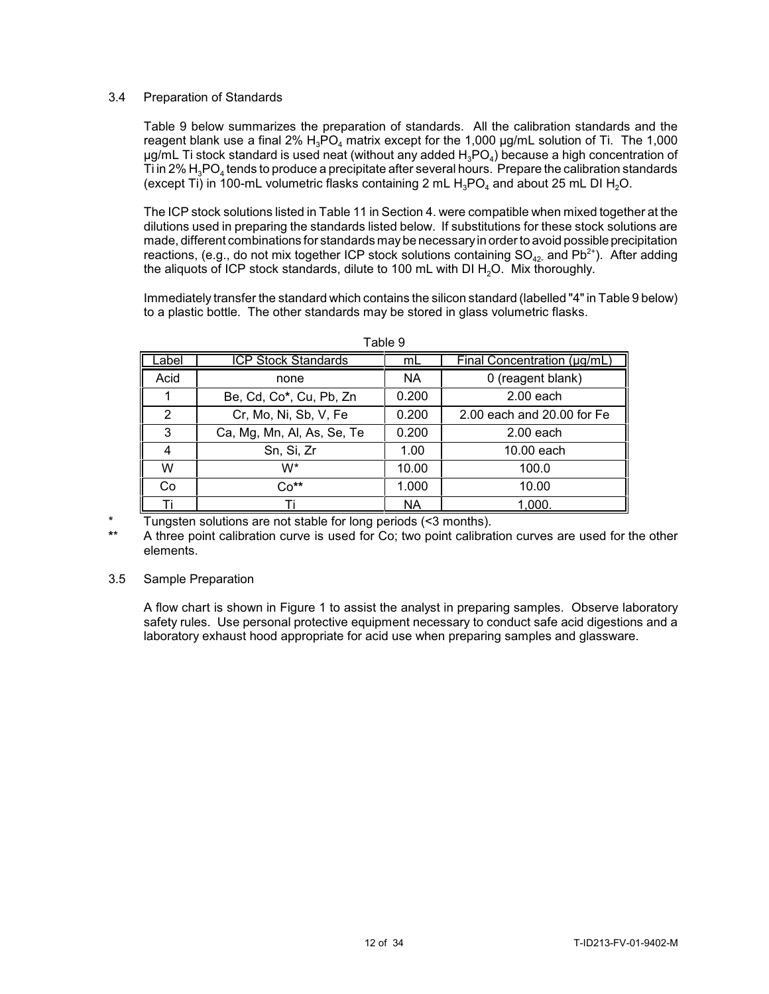## 3.4 Preparation of Standards

Table 9 below summarizes the preparation of standards. All the calibration standards and the reagent blank use a final 2%  $H_3PO_4$  matrix except for the 1,000  $\mu$ g/mL solution of Ti. The 1,000 <code>µg/mL</code> Ti stock standard is used neat (without any added  ${\rm H_3PO_4})$  because a high concentration of Ti in 2%  ${\sf H_3PO_4}$  tends to produce a precipitate after several hours. Prepare the calibration standards (except Ti) in 100-mL volumetric flasks containing 2 mL  ${\rm H_3PO_4}$  and about 25 mL DI  ${\rm H_2O.}$ 

The ICP stock solutions listed in Table 11 in Section 4. were compatible when mixed together at the dilutions used in preparing the standards listed below. If substitutions for these stock solutions are made, different combinations for standards maybe necessaryin order to avoid possible precipitation reactions, (e.g., do not mix together ICP stock solutions containing  $SO_{42}$  and Pb<sup>2+</sup>). After adding the aliquots of ICP stock standards, dilute to 100 mL with DI H<sub>2</sub>O. Mix thoroughly.

Immediately transfer the standard which contains the silicon standard (labelled "4"in Table 9 below) to a plastic bottle. The other standards may be stored in glass volumetric flasks.

| .abel | <b>ICP Stock Standards</b> | mL        | Final Concentration (µg/mL) |  |
|-------|----------------------------|-----------|-----------------------------|--|
| Acid  | none                       | <b>NA</b> | 0 (reagent blank)           |  |
|       | Be, Cd, Co*, Cu, Pb, Zn    | 0.200     | $2.00$ each                 |  |
| 2     | Cr, Mo, Ni, Sb, V, Fe      | 0.200     | 2.00 each and 20.00 for Fe  |  |
| 3     | Ca, Mg, Mn, Al, As, Se, Te | 0.200     | $2.00$ each                 |  |
|       | Sn, Si, Zr                 | 1.00      | 10.00 each                  |  |
| W     | W*                         | 10.00     | 100.0                       |  |
| Co    | Co**                       | 1.000     | 10.00                       |  |
|       |                            | NA        | <u>1,000.</u>               |  |

Table 9

Tungsten solutions are not stable for long periods (<3 months).

**\***\* A three point calibration curve is used for Co; two point calibration curves are used for the other elements.

## 3.5 Sample Preparation

A flow chart is shown in Figure 1 to assist the analyst in preparing samples. Observe laboratory safety rules. Use personal protective equipment necessary to conduct safe acid digestions and a laboratory exhaust hood appropriate for acid use when preparing samples and glassware.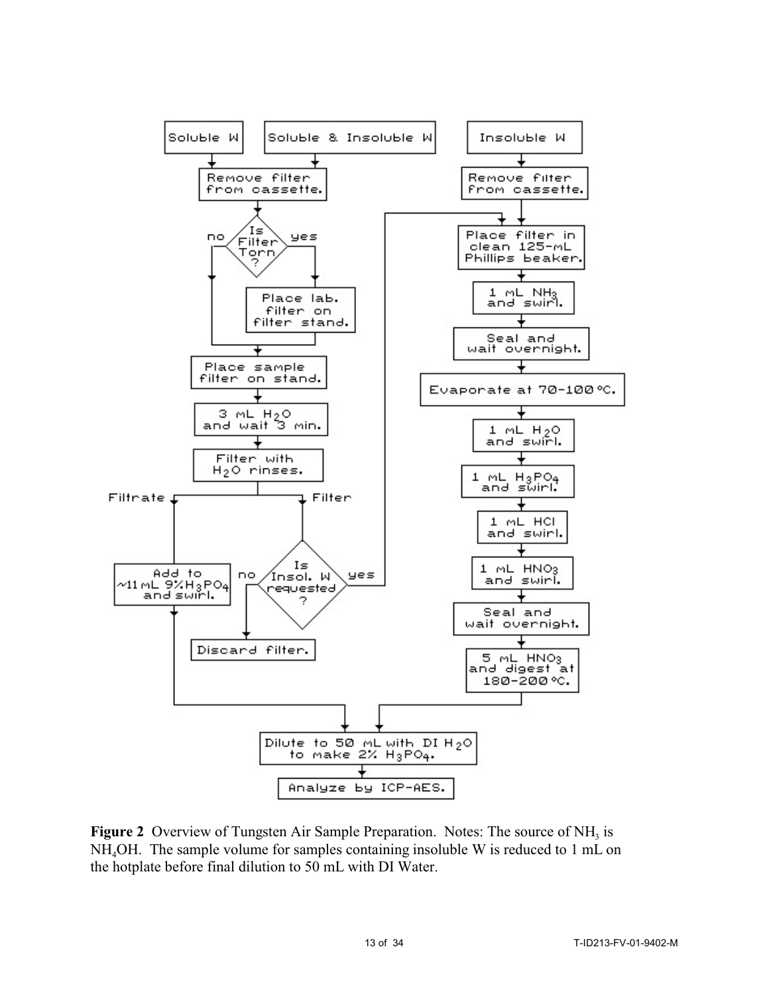

**Figure 2** Overview of Tungsten Air Sample Preparation. Notes: The source of NH<sub>3</sub> is NH4OH. The sample volume for samples containing insoluble W is reduced to 1 mL on the hotplate before final dilution to 50 mL with DI Water.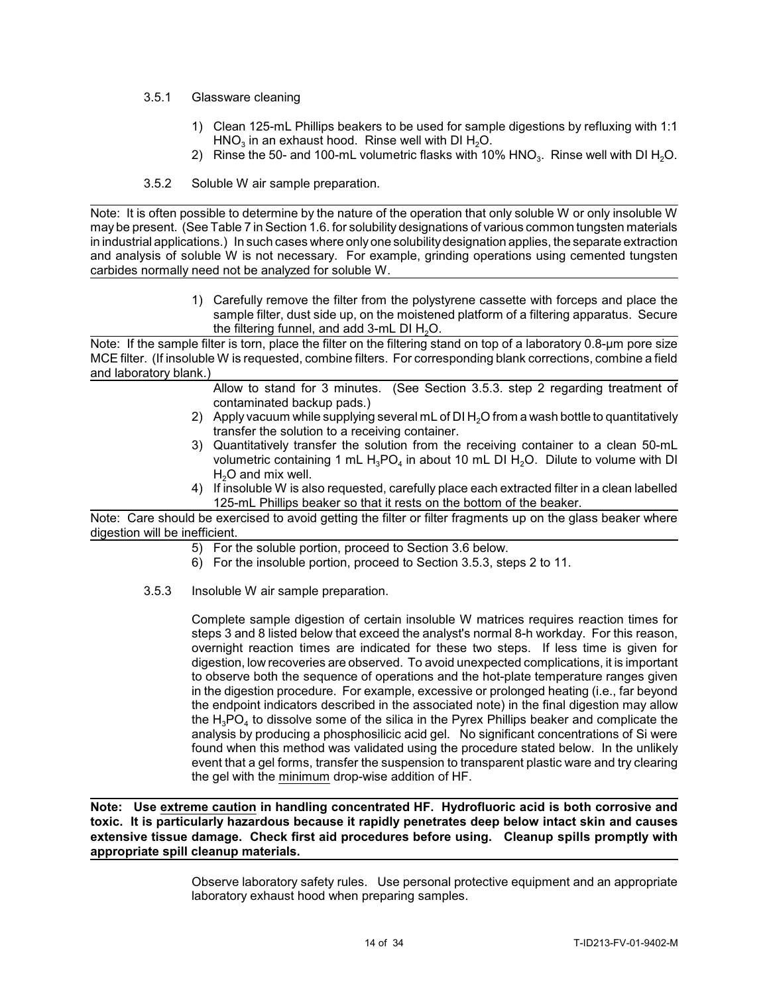## 3.5.1 Glassware cleaning

- 1) Clean 125-mL Phillips beakers to be used for sample digestions by refluxing with 1:1  $\mathsf{HNO}_3$  in an exhaust hood. Rinse well with DI  $\mathsf{H}_2\mathsf{O}.$
- 2) Rinse the 50- and 100-mL volumetric flasks with 10% HNO $_3$ . Rinse well with DI H $_2$ O.
- 3.5.2 Soluble W air sample preparation.

Note: It is often possible to determine by the nature of the operation that only soluble W or only insoluble W may be present. (See Table 7 in Section 1.6. for solubility designations of various common tungsten materials in industrial applications.) In such cases where onlyone solubilitydesignation applies, the separate extraction and analysis of soluble W is not necessary. For example, grinding operations using cemented tungsten carbides normally need not be analyzed for soluble W.

> 1) Carefully remove the filter from the polystyrene cassette with forceps and place the sample filter, dust side up, on the moistened platform of a filtering apparatus. Secure the filtering funnel, and add 3-mL DI  $H_2O$ .

Note: If the sample filter is torn, place the filter on the filtering stand on top of a laboratory 0.8-µm pore size MCE filter. (If insoluble W is requested, combine filters. For corresponding blank corrections, combine a field and laboratory blank.)

- Allow to stand for 3 minutes. (See Section 3.5.3. step 2 regarding treatment of contaminated backup pads.)
- 2) Apply vacuum while supplying several mL of DI H<sub>2</sub>O from a wash bottle to quantitatively transfer the solution to a receiving container.
- 3) Quantitatively transfer the solution from the receiving container to a clean 50-mL volumetric containing 1 mL  ${\sf H_3PO_4}$  in about 10 mL DI  ${\sf H_2O}$ . Dilute to volume with DI H<sub>2</sub>O and mix well.
- 4) If insoluble W is also requested, carefully place each extracted filter in a clean labelled 125-mL Phillips beaker so that it rests on the bottom of the beaker.

Note: Care should be exercised to avoid getting the filter or filter fragments up on the glass beaker where digestion will be inefficient.

- 5) For the soluble portion, proceed to Section 3.6 below.
- 6) For the insoluble portion, proceed to Section 3.5.3, steps 2 to 11.
- 3.5.3 Insoluble W air sample preparation.

Complete sample digestion of certain insoluble W matrices requires reaction times for steps 3 and 8 listed below that exceed the analyst's normal 8-h workday. For this reason, overnight reaction times are indicated for these two steps. If less time is given for digestion, low recoveries are observed. To avoid unexpected complications, it is important to observe both the sequence of operations and the hot-plate temperature ranges given in the digestion procedure. For example, excessive or prolonged heating (i.e., far beyond the endpoint indicators described in the associated note) in the final digestion may allow the  ${\sf H_3PO_4}$  to dissolve some of the silica in the Pyrex Phillips beaker and complicate the analysis by producing a phosphosilicic acid gel. No significant concentrations of Si were found when this method was validated using the procedure stated below. In the unlikely event that a gel forms, transfer the suspension to transparent plastic ware and try clearing the gel with the minimum drop-wise addition of HF.

**Note: Use extreme caution in handling concentrated HF. Hydrofluoric acid is both corrosive and toxic. It is particularly hazardous because it rapidly penetrates deep below intact skin and causes extensive tissue damage. Check first aid procedures before using. Cleanup spills promptly with appropriate spill cleanup materials.**

> Observe laboratory safety rules. Use personal protective equipment and an appropriate laboratory exhaust hood when preparing samples.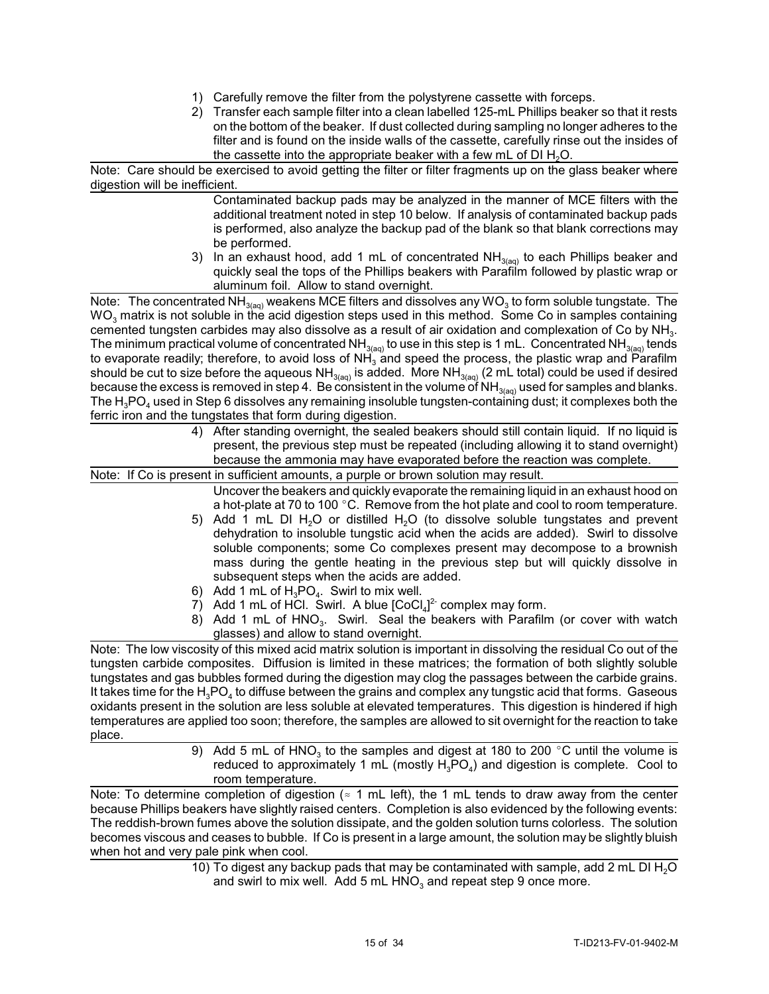- 1) Carefully remove the filter from the polystyrene cassette with forceps.
- 2) Transfer each sample filter into a clean labelled 125-mL Phillips beaker so that it rests on the bottom of the beaker. If dust collected during sampling no longer adheres to the filter and is found on the inside walls of the cassette, carefully rinse out the insides of the cassette into the appropriate beaker with a few mL of DI  $H_2O$ .

Note: Care should be exercised to avoid getting the filter or filter fragments up on the glass beaker where digestion will be inefficient.

- Contaminated backup pads may be analyzed in the manner of MCE filters with the additional treatment noted in step 10 below. If analysis of contaminated backup pads is performed, also analyze the backup pad of the blank so that blank corrections may be performed.
- 3) In an exhaust hood, add 1 mL of concentrated  $NH_{3(aq)}$  to each Phillips beaker and quickly seal the tops of the Phillips beakers with Parafilm followed by plastic wrap or aluminum foil. Allow to stand overnight.

Note: The concentrated NH $_{\text{3(aq)}}$  weakens MCE filters and dissolves any WO $_{3}$  to form soluble tungstate. The  $WO<sub>3</sub>$  matrix is not soluble in the acid digestion steps used in this method. Some Co in samples containing cemented tungsten carbides may also dissolve as a result of air oxidation and complexation of Co by NH $_{\text{3}}$ . The minimum practical volume of concentrated NH<sub>3(aq)</sub> to use in this step is 1 mL. Concentrated NH<sub>3(aq)</sub> tends to evaporate readily; therefore, to avoid loss of  $NH_3$  and speed the process, the plastic wrap and Parafilm should be cut to size before the aqueous  $NH_{3(aq)}$  is added. More NH<sub>3(aq)</sub> (2 mL total) could be used if desired because the excess is removed in step 4. Be consistent in the volume of  $NH_{3(aq)}$  used for samples and blanks. The  $H_3PO_4$  used in Step 6 dissolves any remaining insoluble tungsten-containing dust; it complexes both the ferric iron and the tungstates that form during digestion.

> 4) After standing overnight, the sealed beakers should still contain liquid. If no liquid is present, the previous step must be repeated (including allowing it to stand overnight) because the ammonia may have evaporated before the reaction was complete.

Note: If Co is present in sufficient amounts, a purple or brown solution may result.

- Uncover the beakers and quickly evaporate the remaining liquid in an exhaust hood on a hot-plate at 70 to 100  $^{\circ}$ C. Remove from the hot plate and cool to room temperature.
- 5) Add 1 mL DI H<sub>2</sub>O or distilled H<sub>2</sub>O (to dissolve soluble tungstates and prevent dehydration to insoluble tungstic acid when the acids are added). Swirl to dissolve soluble components; some Co complexes present may decompose to a brownish mass during the gentle heating in the previous step but will quickly dissolve in subsequent steps when the acids are added.
- 6) Add 1 mL of  $H_3PO_4$ . Swirl to mix well.
- 7) Add 1 mL of HCl. Swirl. A blue  $[CoCl<sub>4</sub>]<sup>2</sup>$  complex may form.
- 8) Add 1 mL of HNO<sub>3</sub>. Swirl. Seal the beakers with Parafilm (or cover with watch glasses) and allow to stand overnight.

Note: The low viscosity of this mixed acid matrix solution is important in dissolving the residual Co out of the tungsten carbide composites. Diffusion is limited in these matrices; the formation of both slightly soluble tungstates and gas bubbles formed during the digestion may clog the passages between the carbide grains. It takes time for the  ${\rm H_3PO_4}$  to diffuse between the grains and complex any tungstic acid that forms.  $\,$  Gaseous oxidants present in the solution are less soluble at elevated temperatures. This digestion is hindered if high temperatures are applied too soon; therefore, the samples are allowed to sit overnight for the reaction to take place.

> 9)  $\,$  Add 5 mL of HNO $_{3}$  to the samples and digest at 180 to 200  $^{\circ}$ C until the volume is reduced to approximately 1 mL (mostly  $H_3$ PO<sub>4</sub>) and digestion is complete. Cool to room temperature.

Note: To determine completion of digestion ( $\approx$  1 mL left), the 1 mL tends to draw away from the center because Phillips beakers have slightly raised centers. Completion is also evidenced by the following events: The reddish-brown fumes above the solution dissipate, and the golden solution turns colorless. The solution becomes viscous and ceases to bubble. If Co is present in a large amount, the solution may be slightly bluish when hot and very pale pink when cool.

> 10) To digest any backup pads that may be contaminated with sample, add  $2 \text{ mL}$  DI H<sub>2</sub>O and swirl to mix well.  $\,$  Add 5 mL HNO $_3$  and repeat step 9 once more.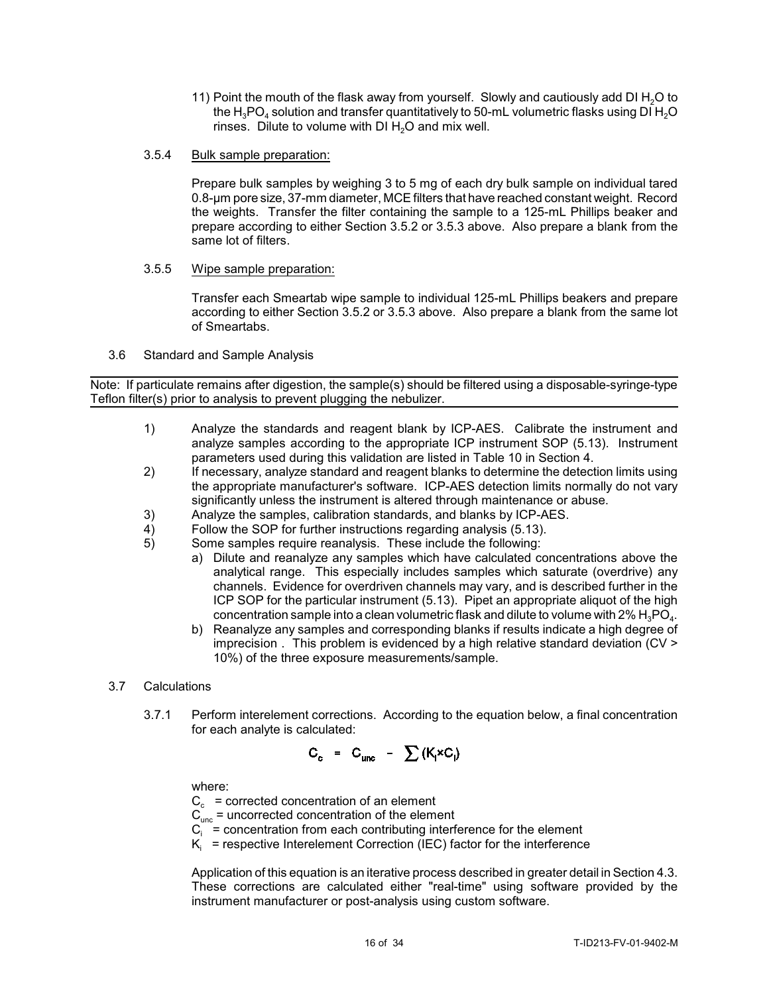- 11) Point the mouth of the flask away from yourself. Slowly and cautiously add DI  $H<sub>2</sub>O$  to the  $H_3PO_4$  solution and transfer quantitatively to 50-mL volumetric flasks using DI  $H_2O$ rinses. Dilute to volume with  $DI H<sub>2</sub>O$  and mix well.
- 3.5.4 Bulk sample preparation:

Prepare bulk samples by weighing 3 to 5 mg of each dry bulk sample on individual tared 0.8-µm pore size, 37-mm diameter, MCE filters that have reached constant weight. Record the weights. Transfer the filter containing the sample to a 125-mL Phillips beaker and prepare according to either Section 3.5.2 or 3.5.3 above. Also prepare a blank from the same lot of filters.

3.5.5 Wipe sample preparation:

Transfer each Smeartab wipe sample to individual 125-mL Phillips beakers and prepare according to either Section 3.5.2 or 3.5.3 above. Also prepare a blank from the same lot of Smeartabs.

3.6 Standard and Sample Analysis

Note: If particulate remains after digestion, the sample(s) should be filtered using a disposable-syringe-type Teflon filter(s) prior to analysis to prevent plugging the nebulizer.

- 1) Analyze the standards and reagent blank by ICP-AES. Calibrate the instrument and analyze samples according to the appropriate ICP instrument SOP (5.13). Instrument parameters used during this validation are listed in Table 10 in Section 4.
- 2) If necessary, analyze standard and reagent blanks to determine the detection limits using the appropriate manufacturer's software. ICP-AES detection limits normally do not vary significantly unless the instrument is altered through maintenance or abuse.
- 3) Analyze the samples, calibration standards, and blanks by ICP-AES.
- 4) Follow the SOP for further instructions regarding analysis (5.13).
- 5) Some samples require reanalysis. These include the following:
	- a) Dilute and reanalyze any samples which have calculated concentrations above the analytical range. This especially includes samples which saturate (overdrive) any channels. Evidence for overdriven channels may vary, and is described further in the ICP SOP for the particular instrument (5.13). Pipet an appropriate aliquot of the high concentration sample into a clean volumetric flask and dilute to volume with 2%  ${\rm H_3PO_4.}$
	- b) Reanalyze any samples and corresponding blanks if results indicate a high degree of imprecision . This problem is evidenced by a high relative standard deviation (CV > 10%) of the three exposure measurements/sample.
- 3.7 Calculations
	- 3.7.1 Perform interelement corrections. According to the equation below, a final concentration for each analyte is calculated:

$$
C_c = C_{unc} - \sum (K_i \times C_i)
$$

where:

 $C_c$  = corrected concentration of an element

- $C<sub>unc</sub>$  = uncorrected concentration of the element
- $C_i$  = concentration from each contributing interference for the element
- $\mathsf{K}_{\mathsf{i}}\;$  = respective Interelement Correction (IEC) factor for the interference

Application of this equation is an iterative process described in greater detail in Section 4.3. These corrections are calculated either "real-time" using software provided by the instrument manufacturer or post-analysis using custom software.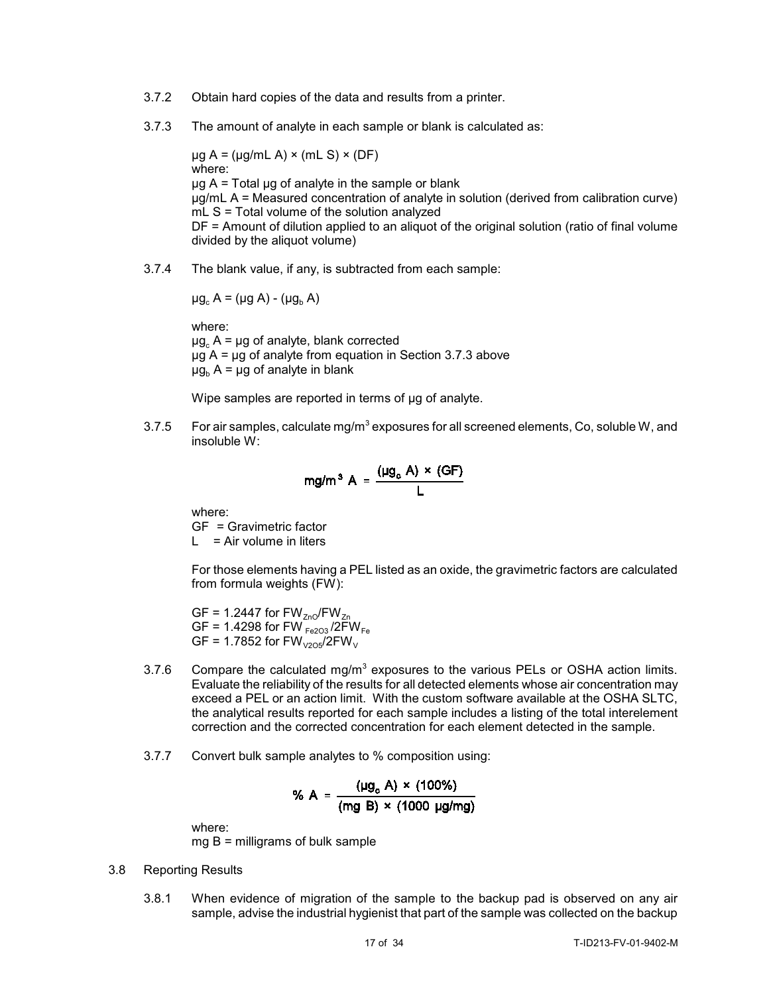- 3.7.2 Obtain hard copies of the data and results from a printer.
- 3.7.3 The amount of analyte in each sample or blank is calculated as:

 $\mu$ g A = ( $\mu$ g/mL A) × (mL S) × (DF) where:  $\mu$ g A = Total  $\mu$ g of analyte in the sample or blank µg/mL A = Measured concentration of analyte in solution (derived from calibration curve) mL S = Total volume of the solution analyzed DF = Amount of dilution applied to an aliquot of the original solution (ratio of final volume divided by the aliquot volume)

3.7.4 The blank value, if any, is subtracted from each sample:

$$
\mu g_c A = (\mu g A) - (\mu g_b A)
$$

where:

 $\mu$ g $_{\rm c}$  A =  $\mu$ g of analyte, blank corrected  $\mu$ g A =  $\mu$ g of analyte from equation in Section 3.7.3 above  $\mu$ g $_{\rm b}$  A =  $\mu$ g of analyte in blank

Wipe samples are reported in terms of µg of analyte.

3.7.5 For air samples, calculate mg/m<sup>3</sup> exposures for all screened elements, Co, soluble W, and insoluble W:

$$
mg/m^3 A = \frac{(\mu g_c A) \times (GF)}{L}
$$

where:

GF = Gravimetric factor

 $L = Air volume$  in liters

For those elements having a PEL listed as an oxide, the gravimetric factors are calculated from formula weights (FW):

GF = 1.2447 for  $FW<sub>Zno</sub>/FW<sub>Zn</sub>$ GF = 1.4298 for FW  $_{Fe2O3}$ /2FW $_{Fe}$ GF = 1.7852 for  $FW<sub>V205</sub>/2FW<sub>V</sub>$ 

- 3.7.6 Compare the calculated mg/m<sup>3</sup> exposures to the various PELs or OSHA action limits. Evaluate the reliability of the results for all detected elements whose air concentration may exceed a PEL or an action limit. With the custom software available at the OSHA SLTC, the analytical results reported for each sample includes a listing of the total interelement correction and the corrected concentration for each element detected in the sample.
- 3.7.7 Convert bulk sample analytes to % composition using:

% A = 
$$
\frac{(\mu g_c A) \times (100\%)}{(\text{mg B}) \times (1000 \text{ kg/mg})}
$$

where:

 $mg B =$  milligrams of bulk sample

#### 3.8 Reporting Results

3.8.1 When evidence of migration of the sample to the backup pad is observed on any air sample, advise the industrial hygienist that part of the sample was collected on the backup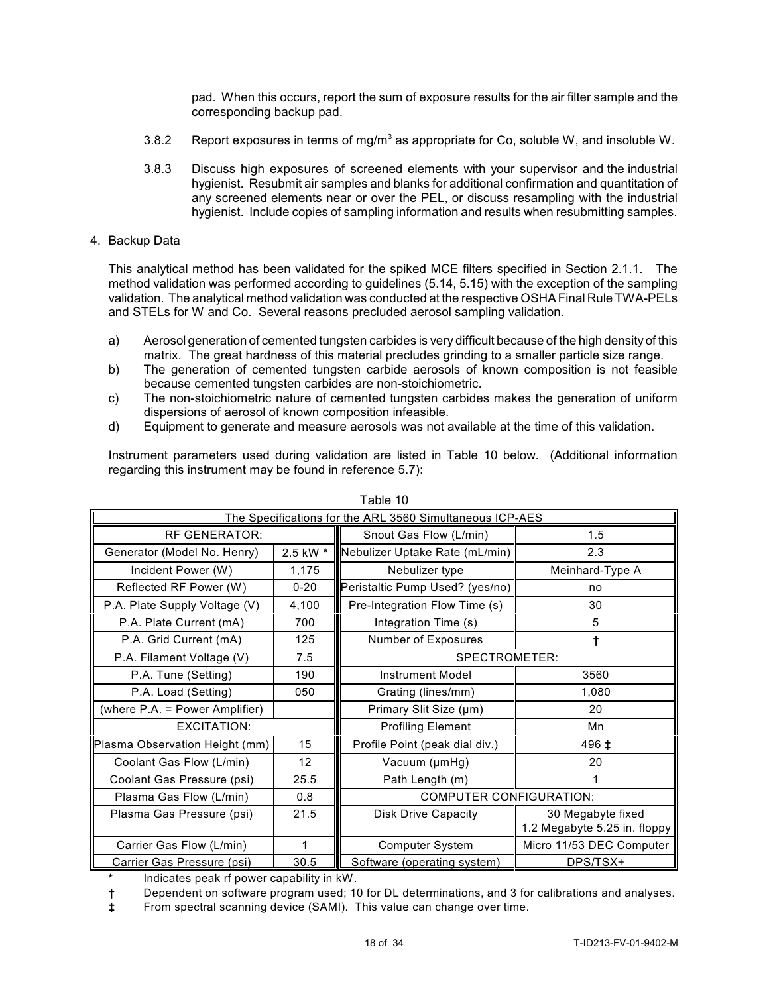pad. When this occurs, report the sum of exposure results for the air filter sample and the corresponding backup pad.

- 3.8.2 Report exposures in terms of mg/m<sup>3</sup> as appropriate for Co, soluble W, and insoluble W.
- 3.8.3 Discuss high exposures of screened elements with your supervisor and the industrial hygienist. Resubmit air samples and blanks for additional confirmation and quantitation of any screened elements near or over the PEL, or discuss resampling with the industrial hygienist. Include copies of sampling information and results when resubmitting samples.
- 4. Backup Data

This analytical method has been validated for the spiked MCE filters specified in Section 2.1.1. The method validation was performed according to guidelines (5.14, 5.15) with the exception of the sampling validation. The analytical method validation was conducted at the respective OSHA Final Rule TWA-PELs and STELs for W and Co. Several reasons precluded aerosol sampling validation.

- a) Aerosol generation of cemented tungsten carbides is very difficult because of the high densityof this matrix. The great hardness of this material precludes grinding to a smaller particle size range.
- b) The generation of cemented tungsten carbide aerosols of known composition is not feasible because cemented tungsten carbides are non-stoichiometric.
- c) The non-stoichiometric nature of cemented tungsten carbides makes the generation of uniform dispersions of aerosol of known composition infeasible.
- d) Equipment to generate and measure aerosols was not available at the time of this validation.

Instrument parameters used during validation are listed in Table 10 below. (Additional information regarding this instrument may be found in reference 5.7):

| The Specifications for the ARL 3560 Simultaneous ICP-AES |                 |                                         |                                                   |
|----------------------------------------------------------|-----------------|-----------------------------------------|---------------------------------------------------|
| <b>RF GENERATOR:</b>                                     |                 | Snout Gas Flow (L/min)                  | 1.5                                               |
| Generator (Model No. Henry)                              | 2.5 kW *        | Nebulizer Uptake Rate (mL/min)          | 2.3                                               |
| Incident Power (W)                                       | 1,175           | Nebulizer type                          | Meinhard-Type A                                   |
| Reflected RF Power (W)                                   | $0 - 20$        | Peristaltic Pump Used? (yes/no)         | no                                                |
| P.A. Plate Supply Voltage (V)                            | 4,100           | Pre-Integration Flow Time (s)           | 30                                                |
| P.A. Plate Current (mA)                                  | 700             | Integration Time (s)                    | 5                                                 |
| P.A. Grid Current (mA)                                   | 125             | Number of Exposures                     | t                                                 |
| P.A. Filament Voltage (V)                                | 7.5             | SPECTROMETER:                           |                                                   |
| P.A. Tune (Setting)                                      | 190             | Instrument Model                        | 3560                                              |
| P.A. Load (Setting)                                      | 050             | Grating (lines/mm)                      | 1,080                                             |
| (where P.A. = Power Amplifier)                           |                 | Primary Slit Size (µm)                  | 20                                                |
| <b>EXCITATION:</b>                                       |                 | <b>Profiling Element</b><br>Mn          |                                                   |
| Plasma Observation Height (mm)                           | 15              | Profile Point (peak dial div.)<br>496 ‡ |                                                   |
| Coolant Gas Flow (L/min)                                 | 12 <sup>2</sup> | Vacuum (µmHg)                           | 20                                                |
| Coolant Gas Pressure (psi)                               | 25.5            | Path Length (m)                         |                                                   |
| Plasma Gas Flow (L/min)                                  | 0.8             | <b>COMPUTER CONFIGURATION:</b>          |                                                   |
| Plasma Gas Pressure (psi)                                | 21.5            | <b>Disk Drive Capacity</b>              | 30 Megabyte fixed<br>1.2 Megabyte 5.25 in. floppy |
| Carrier Gas Flow (L/min)                                 | 1               | <b>Computer System</b>                  | Micro 11/53 DEC Computer                          |
| Carrier Gas Pressure (psi)                               | 30.5            | Software (operating system)             | DPS/TSX+                                          |

Table 10

**\*** Indicates peak rf power capability in kW.

**†** Dependent on software program used; 10 for DL determinations, and 3 for calibrations and analyses.

**‡** From spectral scanning device (SAMI). This value can change over time.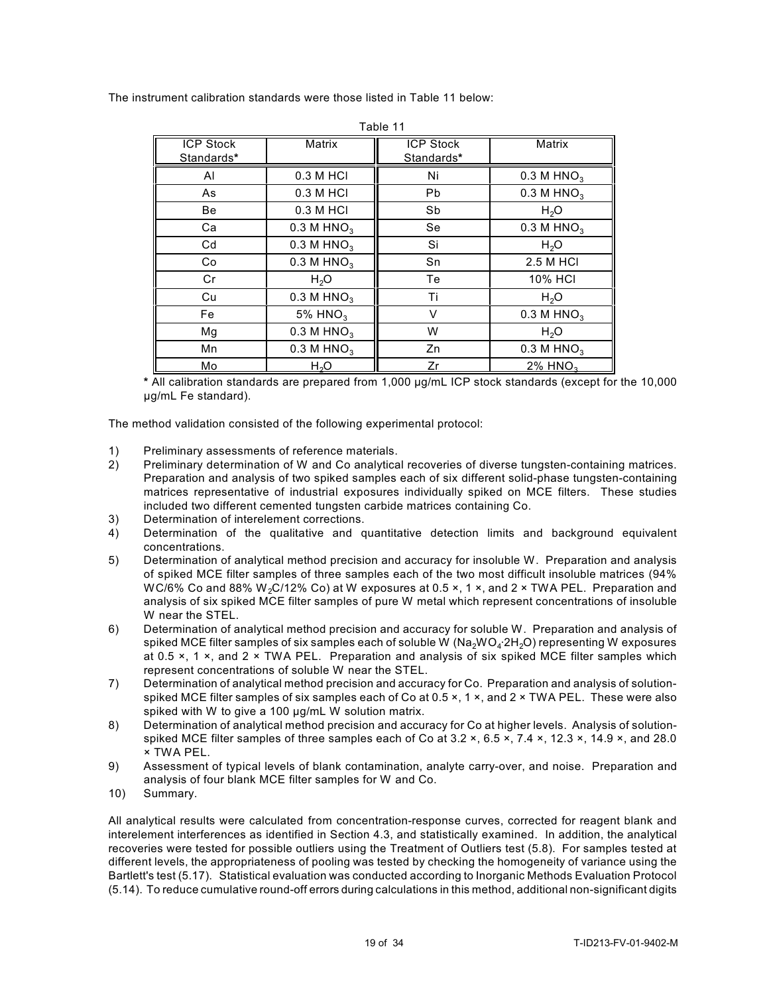The instrument calibration standards were those listed in Table 11 below:

| <b>ICP Stock</b><br>Standards* | Matrix                   | <b>ICP Stock</b><br>Standards* | Matrix                   |
|--------------------------------|--------------------------|--------------------------------|--------------------------|
| AI                             | 0.3 M HCI                | Ni                             | $0.3$ M HNO <sub>3</sub> |
| As                             | 0.3 M HCI                | <b>Pb</b>                      | $0.3$ M HNO <sub>3</sub> |
| Be                             | 0.3 M HCI                | Sb                             | H <sub>2</sub> O         |
| Ca                             | $0.3$ M HNO <sub>3</sub> | Se                             | $0.3$ M HNO <sub>3</sub> |
| Cd                             | $0.3$ M HNO <sub>3</sub> | Si                             | H <sub>2</sub> O         |
| Co                             | $0.3$ M HNO <sub>3</sub> | Sn                             | 2.5 M HCI                |
| Cr                             | H <sub>2</sub> O         | Te                             | 10% HCI                  |
| Cu                             | $0.3$ M HNO <sub>3</sub> | Τi                             | H <sub>2</sub> O         |
| Fe                             | 5% $HNO3$                | $\vee$                         | $0.3$ M HNO <sub>3</sub> |
| Mg                             | $0.3$ M HNO <sub>3</sub> | W                              | H <sub>2</sub> O         |
| Mn                             | $0.3$ M HNO <sub>3</sub> | Zn                             | $0.3$ M HNO <sub>3</sub> |
| Mo                             | H <sub>2</sub> O         | 7r                             | $2\%$ HNO <sub>3</sub>   |

Table 11

**\*** All calibration standards are prepared from 1,000 µg/mL ICP stock standards (except for the 10,000 µg/mL Fe standard).

The method validation consisted of the following experimental protocol:

- 1) Preliminary assessments of reference materials.
- 2) Preliminary determination of W and Co analytical recoveries of diverse tungsten-containing matrices. Preparation and analysis of two spiked samples each of six different solid-phase tungsten-containing matrices representative of industrial exposures individually spiked on MCE filters. These studies included two different cemented tungsten carbide matrices containing Co.
- 3) Determination of interelement corrections.
- 4) Determination of the qualitative and quantitative detection limits and background equivalent concentrations.
- 5) Determination of analytical method precision and accuracy for insoluble W. Preparation and analysis of spiked MCE filter samples of three samples each of the two most difficult insoluble matrices (94% WC/6% Co and 88% W<sub>2</sub>C/12% Co) at W exposures at 0.5  $\times$ , 1  $\times$ , and 2  $\times$  TWA PEL. Preparation and analysis of six spiked MCE filter samples of pure W metal which represent concentrations of insoluble W near the STEL.
- 6) Determination of analytical method precision and accuracy for soluble W. Preparation and analysis of spiked MCE filter samples of six samples each of soluble W (Na $_2$ WO $_4$ ·2H $_2$ O) representing W exposures at 0.5 ×, 1 ×, and 2 × TWA PEL. Preparation and analysis of six spiked MCE filter samples which represent concentrations of soluble W near the STEL.
- 7) Determination of analytical method precision and accuracy for Co. Preparation and analysis of solutionspiked MCE filter samples of six samples each of Co at  $0.5 \times$ , 1  $\times$ , and 2  $\times$  TWA PEL. These were also spiked with W to give a 100 µg/mL W solution matrix.
- 8) Determination of analytical method precision and accuracy for Co at higher levels. Analysis of solutionspiked MCE filter samples of three samples each of Co at 3.2 x, 6.5 x, 7.4 x, 12.3 x, 14.9 x, and 28.0 × TWA PEL.
- 9) Assessment of typical levels of blank contamination, analyte carry-over, and noise. Preparation and analysis of four blank MCE filter samples for W and Co.
- 10) Summary.

All analytical results were calculated from concentration-response curves, corrected for reagent blank and interelement interferences as identified in Section 4.3, and statistically examined. In addition, the analytical recoveries were tested for possible outliers using the Treatment of Outliers test (5.8). For samples tested at different levels, the appropriateness of pooling was tested by checking the homogeneity of variance using the Bartlett's test (5.17). Statistical evaluation was conducted according to Inorganic Methods Evaluation Protocol (5.14). To reduce cumulative round-off errors during calculations in this method, additional non-significant digits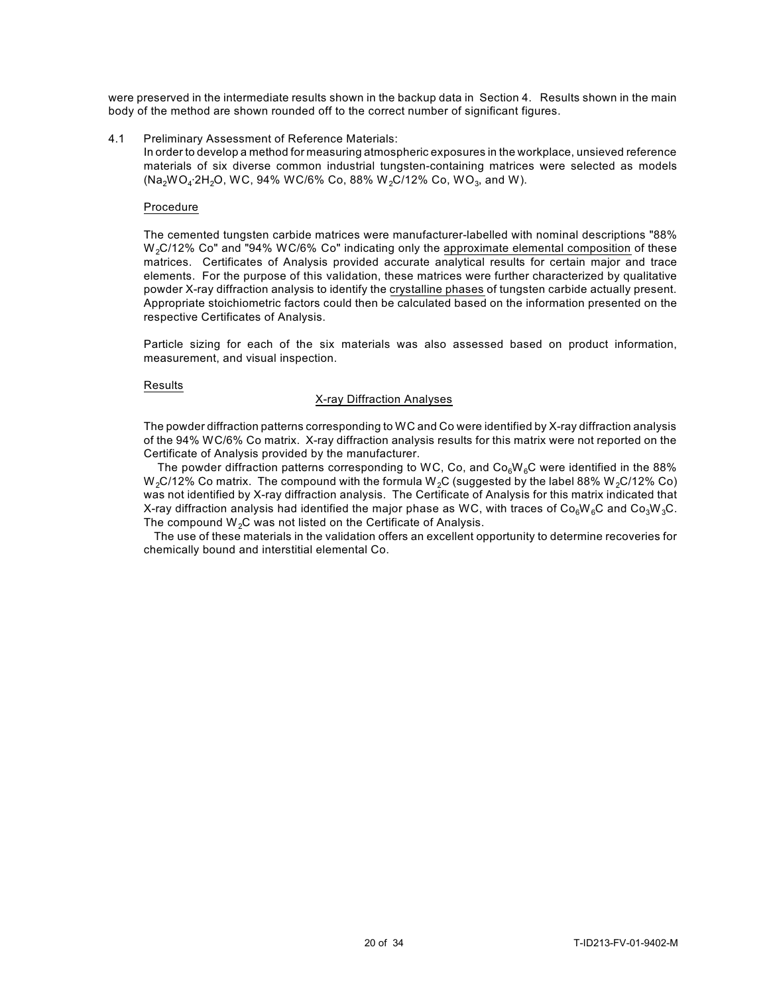were preserved in the intermediate results shown in the backup data in Section 4. Results shown in the main body of the method are shown rounded off to the correct number of significant figures.

#### 4.1 Preliminary Assessment of Reference Materials:

In order to develop a method for measuring atmospheric exposures in the workplace, unsieved reference materials of six diverse common industrial tungsten-containing matrices were selected as models (Na $_{2}$ WO $_{4}$ ·2H $_{2}$ O, WC, 94% WC/6% Co, 88% W $_{2}$ C/12% Co, WO $_{3}$ , and W).

#### Procedure

The cemented tungsten carbide matrices were manufacturer-labelled with nominal descriptions "88%  $W<sub>2</sub>C/12%$  Co" and "94% WC/6% Co" indicating only the approximate elemental composition of these matrices. Certificates of Analysis provided accurate analytical results for certain major and trace elements. For the purpose of this validation, these matrices were further characterized by qualitative powder X-ray diffraction analysis to identify the crystalline phases of tungsten carbide actually present. Appropriate stoichiometric factors could then be calculated based on the information presented on the respective Certificates of Analysis.

Particle sizing for each of the six materials was also assessed based on product information, measurement, and visual inspection.

#### **Results**

#### X-ray Diffraction Analyses

The powder diffraction patterns corresponding to WC and Co were identified by X-ray diffraction analysis of the 94% WC/6% Co matrix. X-ray diffraction analysis results for this matrix were not reported on the Certificate of Analysis provided by the manufacturer.

The powder diffraction patterns corresponding to WC, Co, and  $Co<sub>6</sub>W<sub>6</sub>C$  were identified in the 88% W<sub>2</sub>C/12% Co matrix. The compound with the formula W<sub>2</sub>C (suggested by the label 88% W<sub>2</sub>C/12% Co) was not identified by X-ray diffraction analysis. The Certificate of Analysis for this matrix indicated that X-ray diffraction analysis had identified the major phase as WC, with traces of Co<sub>6</sub>W<sub>6</sub>C and Co<sub>3</sub>W<sub>3</sub>C. The compound  $W<sub>2</sub>C$  was not listed on the Certificate of Analysis.

The use of these materials in the validation offers an excellent opportunity to determine recoveries for chemically bound and interstitial elemental Co.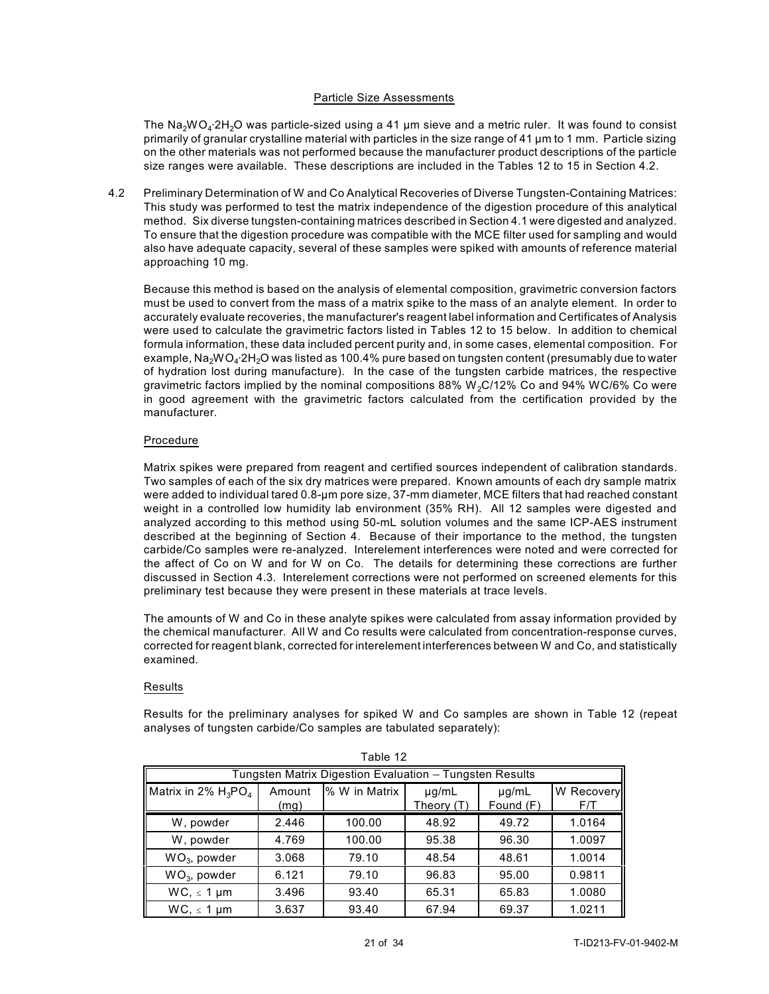#### Particle Size Assessments

The Na $_2$ WO $_4$ ·2H $_2$ O was particle-sized using a 41 µm sieve and a metric ruler. It was found to consist primarily of granular crystalline material with particles in the size range of 41 µm to 1 mm. Particle sizing on the other materials was not performed because the manufacturer product descriptions of the particle size ranges were available. These descriptions are included in the Tables 12 to 15 in Section 4.2.

4.2 Preliminary Determination of W and Co Analytical Recoveries of Diverse Tungsten-Containing Matrices: This study was performed to test the matrix independence of the digestion procedure of this analytical method. Six diverse tungsten-containing matrices described in Section 4.1 were digested and analyzed. To ensure that the digestion procedure was compatible with the MCE filter used for sampling and would also have adequate capacity, several of these samples were spiked with amounts of reference material approaching 10 mg.

Because this method is based on the analysis of elemental composition, gravimetric conversion factors must be used to convert from the mass of a matrix spike to the mass of an analyte element. In order to accurately evaluate recoveries, the manufacturer's reagent label information and Certificates of Analysis were used to calculate the gravimetric factors listed in Tables 12 to 15 below. In addition to chemical formula information, these data included percent purity and, in some cases, elemental composition. For example, Na $_2$ WO $_4$ ·2H $_2$ O was listed as 100.4% pure based on tungsten content (presumably due to water of hydration lost during manufacture). In the case of the tungsten carbide matrices, the respective gravimetric factors implied by the nominal compositions  $88\%$  W<sub>2</sub>C/12% Co and 94% WC/6% Co were in good agreement with the gravimetric factors calculated from the certification provided by the manufacturer.

#### Procedure

Matrix spikes were prepared from reagent and certified sources independent of calibration standards. Two samples of each of the six dry matrices were prepared. Known amounts of each dry sample matrix were added to individual tared 0.8-µm pore size, 37-mm diameter, MCE filters that had reached constant weight in a controlled low humidity lab environment (35% RH). All 12 samples were digested and analyzed according to this method using 50-mL solution volumes and the same ICP-AES instrument described at the beginning of Section 4. Because of their importance to the method, the tungsten carbide/Co samples were re-analyzed. Interelement interferences were noted and were corrected for the affect of Co on W and for W on Co. The details for determining these corrections are further discussed in Section 4.3. Interelement corrections were not performed on screened elements for this preliminary test because they were present in these materials at trace levels.

The amounts of W and Co in these analyte spikes were calculated from assay information provided by the chemical manufacturer. All W and Co results were calculated from concentration-response curves, corrected for reagent blank, corrected for interelement interferences between W and Co, and statistically examined.

#### Results

Results for the preliminary analyses for spiked W and Co samples are shown in Table 12 (repeat analyses of tungsten carbide/Co samples are tabulated separately):

| aple iz                |                                                         |               |                          |                         |                   |  |  |  |  |
|------------------------|---------------------------------------------------------|---------------|--------------------------|-------------------------|-------------------|--|--|--|--|
|                        | Tungsten Matrix Digestion Evaluation - Tungsten Results |               |                          |                         |                   |  |  |  |  |
| Matrix in 2% $H_3PO_4$ | Amount<br>(mq)                                          | % W in Matrix | $\mu$ g/mL<br>Theory (T) | $\mu q/mL$<br>Found (F) | W Recovery<br>F/T |  |  |  |  |
| W, powder              | 2.446                                                   | 100.00        | 48.92                    | 49.72                   | 1.0164            |  |  |  |  |
| W, powder              | 4.769                                                   | 100.00        | 95.38                    | 96.30                   | 1.0097            |  |  |  |  |
| $WO3$ , powder         | 3.068                                                   | 79.10         | 48.54                    | 48.61                   | 1.0014            |  |  |  |  |
| $WO3$ , powder         | 6.121                                                   | 79.10         | 96.83                    | 95.00                   | 0.9811            |  |  |  |  |
| $WC, \leq 1 \mu m$     | 3.496                                                   | 93.40         | 65.31                    | 65.83                   | 1.0080            |  |  |  |  |
| $WC \leq 1 \mu m$      | 3.637                                                   | 93.40         | 67.94                    | 69.37                   | 1.0211            |  |  |  |  |

 $T_{11}$  10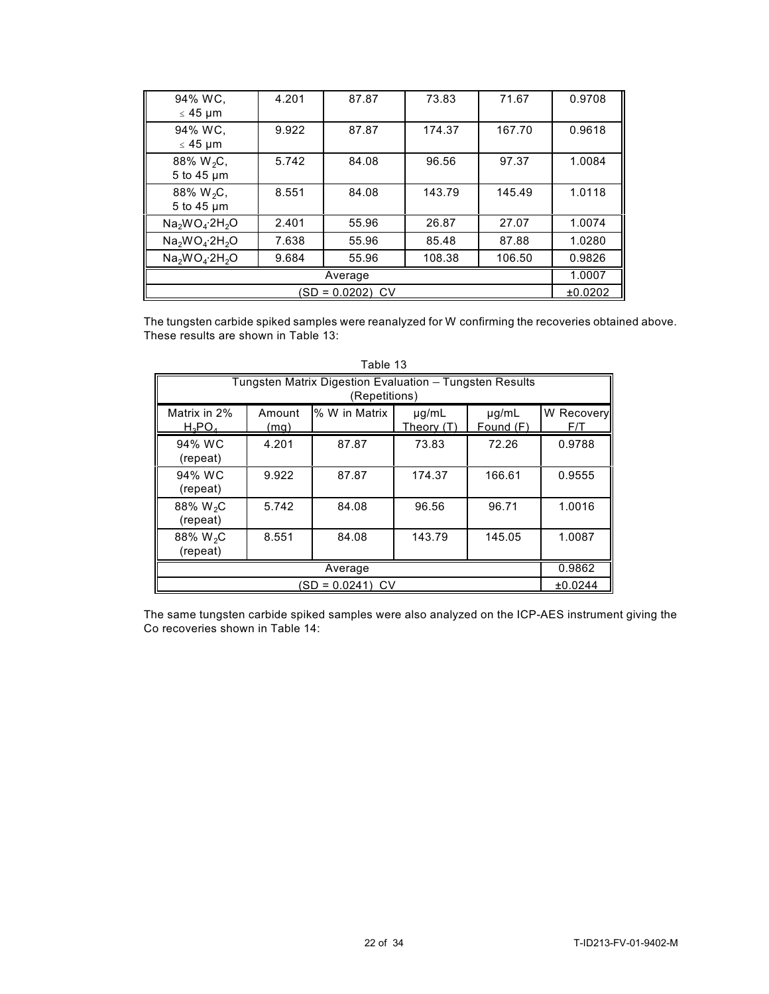| 94% WC,<br>$\leq 45$ µm                  | 4.201 | 87.87            | 73.83  | 71.67  | 0.9708  |  |  |
|------------------------------------------|-------|------------------|--------|--------|---------|--|--|
| 94% WC,<br>$\leq 45 \mu m$               | 9.922 | 87.87            | 174.37 | 167.70 | 0.9618  |  |  |
| 88% $W_2C$ ,<br>5 to 45 µm               | 5.742 | 84.08            | 96.56  | 97.37  | 1.0084  |  |  |
| 88% W <sub>2</sub> C,<br>5 to 45 $\mu$ m | 8.551 | 84.08            | 143.79 | 145.49 | 1.0118  |  |  |
| $Na2WO4·2H2O$                            | 2.401 | 55.96            | 26.87  | 27.07  | 1.0074  |  |  |
| $Na2WO4·2H2O$                            | 7.638 | 55.96            | 85.48  | 87.88  | 1.0280  |  |  |
| $Na2WO4·2H2O$                            | 9.684 | 55.96            | 108.38 | 106.50 | 0.9826  |  |  |
| Average                                  |       |                  |        |        |         |  |  |
|                                          |       | (SD = 0.0202) CV |        |        | ±0.0202 |  |  |

The tungsten carbide spiked samples were reanalyzed for W confirming the recoveries obtained above. These results are shown in Table 13:

|                                  | Tungsten Matrix Digestion Evaluation - Tungsten Results<br>(Repetitions)                             |                  |        |        |         |  |  |  |  |
|----------------------------------|------------------------------------------------------------------------------------------------------|------------------|--------|--------|---------|--|--|--|--|
| Matrix in 2%<br>$H_3PO_A$        | % W in Matrix<br>Amount<br>W Recovery<br>$\mu$ g/mL<br>$\mu$ g/mL<br>Found (F)<br>Theory (T)<br>(mq) |                  |        |        |         |  |  |  |  |
| 94% WC<br>(repeat)               | 4.201                                                                                                | 87.87            | 73.83  | 72.26  | 0.9788  |  |  |  |  |
| 94% WC<br>(repeat)               | 9.922                                                                                                | 87.87            | 174.37 | 166.61 | 0.9555  |  |  |  |  |
| 88% W <sub>2</sub> C<br>(repeat) | 5.742                                                                                                | 84.08            | 96.56  | 96.71  | 1.0016  |  |  |  |  |
| 88% W <sub>2</sub> C<br>(repeat) | 8.551                                                                                                | 84.08            | 143.79 | 145.05 | 1.0087  |  |  |  |  |
|                                  | 0.9862                                                                                               |                  |        |        |         |  |  |  |  |
|                                  |                                                                                                      | (SD = 0.0241) CV |        |        | ±0.0244 |  |  |  |  |

Table 13

The same tungsten carbide spiked samples were also analyzed on the ICP-AES instrument giving the Co recoveries shown in Table 14: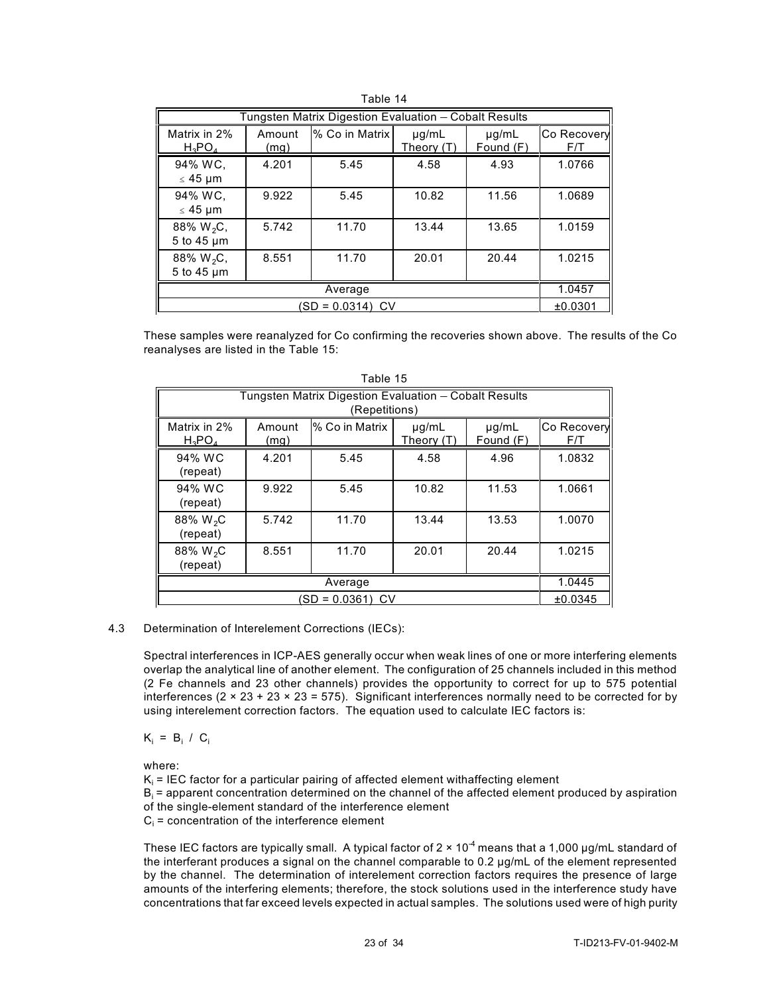| Table 14                            |                                                                                                        |                                                       |       |       |         |  |  |  |  |
|-------------------------------------|--------------------------------------------------------------------------------------------------------|-------------------------------------------------------|-------|-------|---------|--|--|--|--|
|                                     |                                                                                                        | Tungsten Matrix Digestion Evaluation - Cobalt Results |       |       |         |  |  |  |  |
| Matrix in 2%<br>$H_3PO_A$           | % Co in Matrix<br>Amount<br>Co Recovery<br>$\mu$ g/mL<br>$\mu$ g/mL<br>Found (F)<br>Theory (T)<br>(mq) |                                                       |       |       |         |  |  |  |  |
| 94% WC,<br>$\leq 45$ µm             | 4.201                                                                                                  | 5.45                                                  | 4.58  | 4.93  | 1.0766  |  |  |  |  |
| 94% WC.<br>$\leq 45 \mu m$          | 9.922                                                                                                  | 5.45                                                  | 10.82 | 11.56 | 1.0689  |  |  |  |  |
| 88% W <sub>2</sub> C,<br>5 to 45 µm | 5.742                                                                                                  | 11.70                                                 | 13.44 | 13.65 | 1.0159  |  |  |  |  |
| 88% W <sub>2</sub> C,<br>5 to 45 um | 8.551                                                                                                  | 11.70                                                 | 20.01 | 20.44 | 1.0215  |  |  |  |  |
|                                     | 1.0457                                                                                                 |                                                       |       |       |         |  |  |  |  |
|                                     |                                                                                                        | (SD = 0.0314) CV                                      |       |       | ±0.0301 |  |  |  |  |

These samples were reanalyzed for Co confirming the recoveries shown above. The results of the Co reanalyses are listed in the Table 15:

|                                  | Tungsten Matrix Digestion Evaluation - Cobalt Results<br>(Repetitions) |                            |                          |                         |                    |  |  |  |  |
|----------------------------------|------------------------------------------------------------------------|----------------------------|--------------------------|-------------------------|--------------------|--|--|--|--|
| Matrix in 2%<br>$H_3PO_A$        | Amount<br>(mq)                                                         | % Co in Matrix             | $\mu$ g/mL<br>Theory (T) | $\mu$ g/mL<br>Found (F) | Co Recovery<br>F/T |  |  |  |  |
| 94% WC<br>(repeat)               | 4.201                                                                  | 5.45                       | 4.58                     | 4.96                    | 1.0832             |  |  |  |  |
| 94% WC<br>(repeat)               | 9.922                                                                  | 5.45                       | 10.82                    | 11.53                   | 1.0661             |  |  |  |  |
| 88% W <sub>2</sub> C<br>(repeat) | 5.742                                                                  | 11.70                      | 13.44                    | 13.53                   | 1.0070             |  |  |  |  |
| 88% W <sub>2</sub> C<br>(repeat) | 8.551                                                                  | 11.70                      | 20.01                    | 20.44                   | 1.0215             |  |  |  |  |
|                                  | 1.0445                                                                 |                            |                          |                         |                    |  |  |  |  |
|                                  |                                                                        | (SD = 0.0361)<br><b>CV</b> |                          |                         | ±0.0345            |  |  |  |  |

Table 15

### 4.3 Determination of Interelement Corrections (IECs):

Spectral interferences in ICP-AES generally occur when weak lines of one or more interfering elements overlap the analytical line of another element. The configuration of 25 channels included in this method (2 Fe channels and 23 other channels) provides the opportunity to correct for up to 575 potential interferences ( $2 \times 23 + 23 \times 23 = 575$ ). Significant interferences normally need to be corrected for by using interelement correction factors. The equation used to calculate IEC factors is:

 $K_i = B_i / C_i$ 

where:

K $_{\sf i}$  = IEC factor for a particular pairing of affected element withaffecting element B $_{\rm i}$  = apparent concentration determined on the channel of the affected element produced by aspiration of the single-element standard of the interference element  $\mathsf{C}_\mathsf{i}$  = concentration of the interference element

These IEC factors are typically small. A typical factor of  $2 \times 10^{-4}$  means that a 1,000 µg/mL standard of the interferant produces a signal on the channel comparable to 0.2 µg/mL of the element represented by the channel. The determination of interelement correction factors requires the presence of large amounts of the interfering elements; therefore, the stock solutions used in the interference study have concentrations that far exceed levels expected in actual samples. The solutions used were of high purity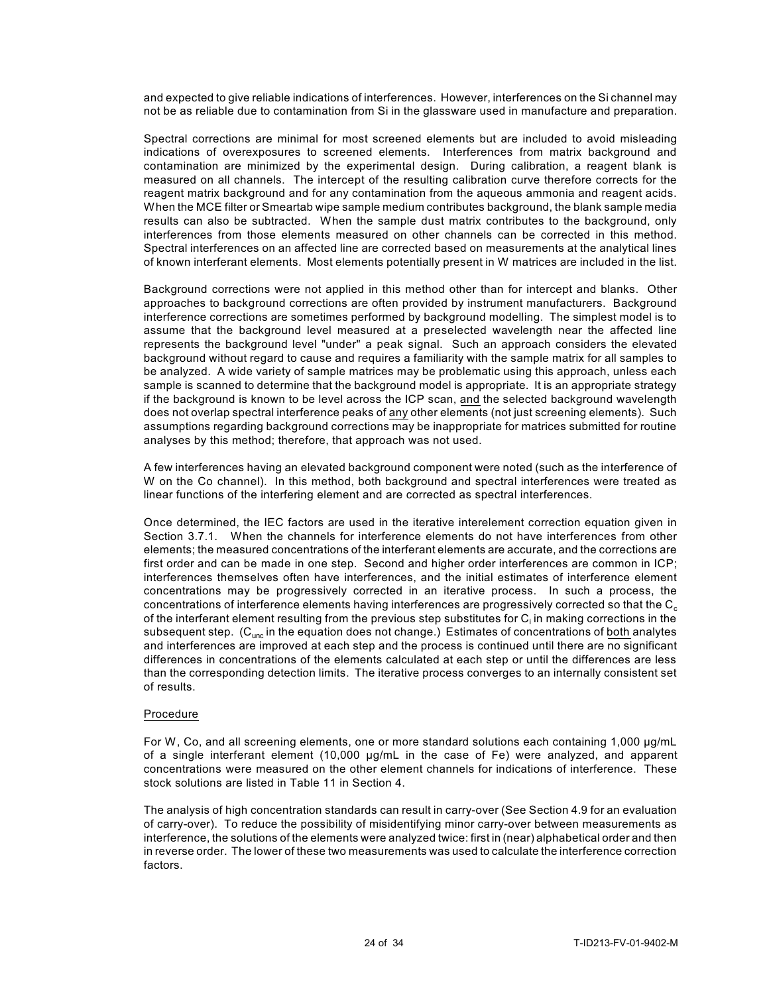and expected to give reliable indications of interferences. However, interferences on the Si channel may not be as reliable due to contamination from Si in the glassware used in manufacture and preparation.

Spectral corrections are minimal for most screened elements but are included to avoid misleading indications of overexposures to screened elements. Interferences from matrix background and contamination are minimized by the experimental design. During calibration, a reagent blank is measured on all channels. The intercept of the resulting calibration curve therefore corrects for the reagent matrix background and for any contamination from the aqueous ammonia and reagent acids. When the MCE filter or Smeartab wipe sample medium contributes background, the blank sample media results can also be subtracted. When the sample dust matrix contributes to the background, only interferences from those elements measured on other channels can be corrected in this method. Spectral interferences on an affected line are corrected based on measurements at the analytical lines of known interferant elements. Most elements potentially present in W matrices are included in the list.

Background corrections were not applied in this method other than for intercept and blanks. Other approaches to background corrections are often provided by instrument manufacturers. Background interference corrections are sometimes performed by background modelling. The simplest model is to assume that the background level measured at a preselected wavelength near the affected line represents the background level "under" a peak signal. Such an approach considers the elevated background without regard to cause and requires a familiarity with the sample matrix for all samples to be analyzed. A wide variety of sample matrices may be problematic using this approach, unless each sample is scanned to determine that the background model is appropriate. It is an appropriate strategy if the background is known to be level across the ICP scan, and the selected background wavelength does not overlap spectral interference peaks of any other elements (not just screening elements). Such assumptions regarding background corrections may be inappropriate for matrices submitted for routine analyses by this method; therefore, that approach was not used.

A few interferences having an elevated background component were noted (such as the interference of W on the Co channel). In this method, both background and spectral interferences were treated as linear functions of the interfering element and are corrected as spectral interferences.

Once determined, the IEC factors are used in the iterative interelement correction equation given in Section 3.7.1. When the channels for interference elements do not have interferences from other elements; the measured concentrations of the interferant elements are accurate, and the corrections are first order and can be made in one step. Second and higher order interferences are common in ICP; interferences themselves often have interferences, and the initial estimates of interference element concentrations may be progressively corrected in an iterative process. In such a process, the concentrations of interference elements having interferences are progressively corrected so that the  $C_c$ of the interferant element resulting from the previous step substitutes for  ${\tt C_i}$  in making corrections in the subsequent step. (C<sub>unc</sub> in the equation does not change.) Estimates of concentrations of <u>both</u> analytes and interferences are improved at each step and the process is continued until there are no significant differences in concentrations of the elements calculated at each step or until the differences are less than the corresponding detection limits. The iterative process converges to an internally consistent set of results.

#### Procedure

For W, Co, and all screening elements, one or more standard solutions each containing 1,000  $\mu$ g/mL of a single interferant element (10,000 µg/mL in the case of Fe) were analyzed, and apparent concentrations were measured on the other element channels for indications of interference. These stock solutions are listed in Table 11 in Section 4.

The analysis of high concentration standards can result in carry-over (See Section 4.9 for an evaluation of carry-over). To reduce the possibility of misidentifying minor carry-over between measurements as interference, the solutions of the elements were analyzed twice: first in (near) alphabetical order and then in reverse order. The lower of these two measurements was used to calculate the interference correction factors.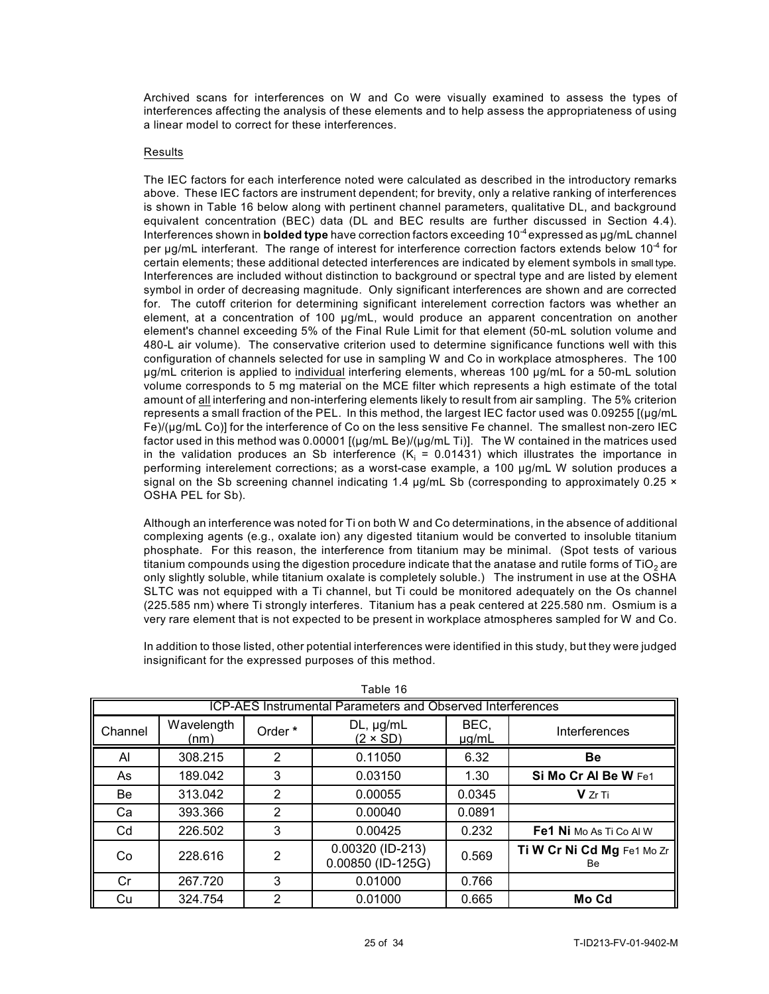Archived scans for interferences on W and Co were visually examined to assess the types of interferences affecting the analysis of these elements and to help assess the appropriateness of using a linear model to correct for these interferences.

### Results

The IEC factors for each interference noted were calculated as described in the introductory remarks above. These IEC factors are instrument dependent; for brevity, only a relative ranking of interferences is shown in Table 16 below along with pertinent channel parameters, qualitative DL, and background equivalent concentration (BEC) data (DL and BEC results are further discussed in Section 4.4). Interferences shown in **bolded type** have correction factors exceeding 10<sup>-4</sup> expressed as µg/mL channel per µg/mL interferant. The range of interest for interference correction factors extends below 10<sup>-4</sup> for certain elements; these additional detected interferences are indicated by element symbols in small type. Interferences are included without distinction to background or spectral type and are listed by element symbol in order of decreasing magnitude. Only significant interferences are shown and are corrected for. The cutoff criterion for determining significant interelement correction factors was whether an element, at a concentration of 100 µg/mL, would produce an apparent concentration on another element's channel exceeding 5% of the Final Rule Limit for that element (50-mL solution volume and 480-L air volume). The conservative criterion used to determine significance functions well with this configuration of channels selected for use in sampling W and Co in workplace atmospheres. The 100 µg/mL criterion is applied to individual interfering elements, whereas 100 µg/mL for a 50-mL solution volume corresponds to 5 mg material on the MCE filter which represents a high estimate of the total amount of all interfering and non-interfering elements likely to result from air sampling. The 5% criterion represents a small fraction of the PEL. In this method, the largest IEC factor used was 0.09255 [(µg/mL Fe)/(µg/mL Co)] for the interference of Co on the less sensitive Fe channel. The smallest non-zero IEC factor used in this method was 0.00001  $[(\mu g/mL]$  Be $)/(\mu g/mL$  Ti)]. The W contained in the matrices used in the validation produces an Sb interference ( $K_i = 0.01431$ ) which illustrates the importance in performing interelement corrections; as a worst-case example, a 100 µg/mL W solution produces a signal on the Sb screening channel indicating 1.4 µg/mL Sb (corresponding to approximately 0.25 × OSHA PEL for Sb).

Although an interference was noted for Ti on both W and Co determinations, in the absence of additional complexing agents (e.g., oxalate ion) any digested titanium would be converted to insoluble titanium phosphate. For this reason, the interference from titanium may be minimal. (Spot tests of various titanium compounds using the digestion procedure indicate that the anatase and rutile forms of TiO<sub>2</sub> are only slightly soluble, while titanium oxalate is completely soluble.) The instrument in use at the OSHA SLTC was not equipped with a Ti channel, but Ti could be monitored adequately on the Os channel (225.585 nm) where Ti strongly interferes. Titanium has a peak centered at 225.580 nm. Osmium is a very rare element that is not expected to be present in workplace atmospheres sampled for W and Co.

|                                          | <b>ICP-AES Instrumental Parameters and Observed Interferences</b> |   |                                       |               |                                  |  |  |  |  |  |  |
|------------------------------------------|-------------------------------------------------------------------|---|---------------------------------------|---------------|----------------------------------|--|--|--|--|--|--|
| Wavelength<br>Order *<br>Channel<br>(nm) |                                                                   |   | DL, µg/mL<br>$(2 \times SD)$          | BEC,<br>ug/mL | Interferences                    |  |  |  |  |  |  |
| Al                                       | 308.215                                                           | 2 | 0.11050                               | 6.32          | Be                               |  |  |  |  |  |  |
| As                                       | 189.042                                                           | 3 | 0.03150                               | 1.30          | Si Mo Cr Al Be W Fe1             |  |  |  |  |  |  |
| Be                                       | 313.042                                                           | 2 | 0.00055                               | 0.0345        | V Zr Ti                          |  |  |  |  |  |  |
| Ca                                       | 393.366                                                           | 2 | 0.00040                               | 0.0891        |                                  |  |  |  |  |  |  |
| Cd                                       | 226.502                                                           | 3 | 0.00425                               | 0.232         | Fe1 Ni Mo As Ti Co Al W          |  |  |  |  |  |  |
| Co                                       | 228.616                                                           | 2 | 0.00320 (ID-213)<br>0.00850 (ID-125G) | 0.569         | Ti W Cr Ni Cd Mg Fe1 Mo Zr<br>Be |  |  |  |  |  |  |
| Cr                                       | 267.720                                                           | 3 | 0.01000                               | 0.766         |                                  |  |  |  |  |  |  |
| Cu                                       | 324.754                                                           | 2 | 0.01000                               | 0.665         | Mo Cd                            |  |  |  |  |  |  |

In addition to those listed, other potential interferences were identified in this study, but they were judged insignificant for the expressed purposes of this method.

Table 16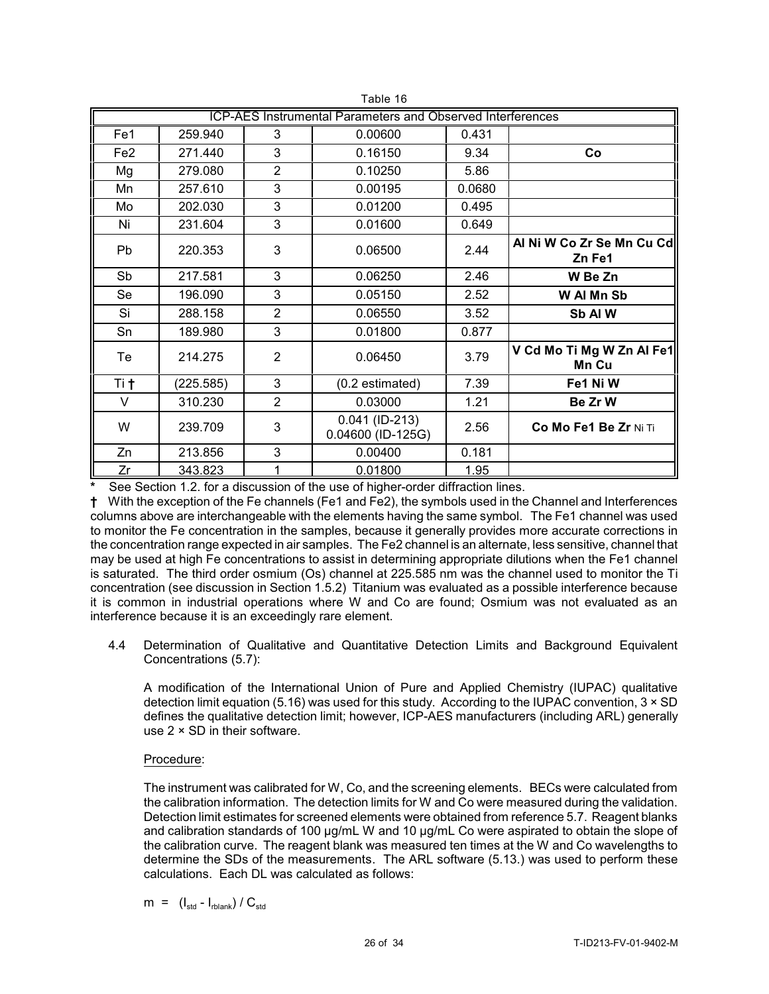|                 |                                                            |                | Table 16                              |             |                                     |  |  |  |  |  |  |
|-----------------|------------------------------------------------------------|----------------|---------------------------------------|-------------|-------------------------------------|--|--|--|--|--|--|
|                 | ICP-AES Instrumental Parameters and Observed Interferences |                |                                       |             |                                     |  |  |  |  |  |  |
| Fe1             | 259.940                                                    | 3              | 0.00600                               | 0.431       |                                     |  |  |  |  |  |  |
| Fe <sub>2</sub> | 271.440                                                    | 3              | 0.16150                               | 9.34        | Co                                  |  |  |  |  |  |  |
| Mg              | 279.080                                                    | $\overline{2}$ | 0.10250                               | 5.86        |                                     |  |  |  |  |  |  |
| Mn              | 257.610                                                    | 3              | 0.00195                               | 0.0680      |                                     |  |  |  |  |  |  |
| Mo              | 202.030                                                    | 3              | 0.01200                               | 0.495       |                                     |  |  |  |  |  |  |
| Ni              | 231.604                                                    | 3              | 0.01600                               | 0.649       |                                     |  |  |  |  |  |  |
| <b>Pb</b>       | 220.353                                                    | 3              | 0.06500                               | 2.44        | Al Ni W Co Zr Se Mn Cu Cd<br>Zn Fe1 |  |  |  |  |  |  |
| Sb              | 217.581                                                    | 3              | 0.06250                               | 2.46        | W Be Zn                             |  |  |  |  |  |  |
| Se              | 196.090                                                    | 3              | 0.05150                               | 2.52        | W Al Mn Sb                          |  |  |  |  |  |  |
| Si              | 288.158                                                    | $\overline{2}$ | 0.06550                               | 3.52        | Sb Al W                             |  |  |  |  |  |  |
| Sn              | 189.980                                                    | 3              | 0.01800                               | 0.877       |                                     |  |  |  |  |  |  |
| Тe              | 214.275                                                    | $\overline{2}$ | 0.06450                               | 3.79        | V Cd Mo Ti Mg W Zn Al Fe1<br>Mn Cu  |  |  |  |  |  |  |
| Ti †            | (225.585)                                                  | 3              | (0.2 estimated)                       | 7.39        | Fe1 NiW                             |  |  |  |  |  |  |
| V               | 310.230                                                    | $\overline{2}$ | 0.03000                               | 1.21        | Be Zr W                             |  |  |  |  |  |  |
| W               | 239.709                                                    | 3              | $0.041$ (ID-213)<br>0.04600 (ID-125G) | 2.56        | Co Mo Fe1 Be Zr Ni Ti               |  |  |  |  |  |  |
| Zn              | 213.856                                                    | 3              | 0.00400                               | 0.181       |                                     |  |  |  |  |  |  |
| <u>Zr</u>       | 343.823                                                    |                | 0.01800                               | <u>1.95</u> |                                     |  |  |  |  |  |  |

**\*** See Section 1.2. for a discussion of the use of higher-order diffraction lines.

**†** With the exception of the Fe channels (Fe1 and Fe2), the symbols used in the Channel and Interferences columns above are interchangeable with the elements having the same symbol. The Fe1 channel was used to monitor the Fe concentration in the samples, because it generally provides more accurate corrections in the concentration range expected in air samples. The Fe2 channel is an alternate, less sensitive, channel that may be used at high Fe concentrations to assist in determining appropriate dilutions when the Fe1 channel is saturated. The third order osmium (Os) channel at 225.585 nm was the channel used to monitor the Ti concentration (see discussion in Section 1.5.2) Titanium was evaluated as a possible interference because it is common in industrial operations where W and Co are found; Osmium was not evaluated as an interference because it is an exceedingly rare element.

4.4 Determination of Qualitative and Quantitative Detection Limits and Background Equivalent Concentrations (5.7):

A modification of the International Union of Pure and Applied Chemistry (IUPAC) qualitative detection limit equation (5.16) was used for this study. According to the IUPAC convention, 3 × SD defines the qualitative detection limit; however, ICP-AES manufacturers (including ARL) generally use 2 × SD in their software.

## Procedure:

The instrument was calibrated for W, Co, and the screening elements. BECs were calculated from the calibration information. The detection limits for W and Co were measured during the validation. Detection limit estimates for screened elements were obtained from reference 5.7. Reagent blanks and calibration standards of 100 µg/mL W and 10 µg/mL Co were aspirated to obtain the slope of the calibration curve. The reagent blank was measured ten times at the W and Co wavelengths to determine the SDs of the measurements. The ARL software (5.13.) was used to perform these calculations. Each DL was calculated as follows:

 $m = (I<sub>std</sub> - I<sub>rblank</sub>) / C<sub>std</sub>$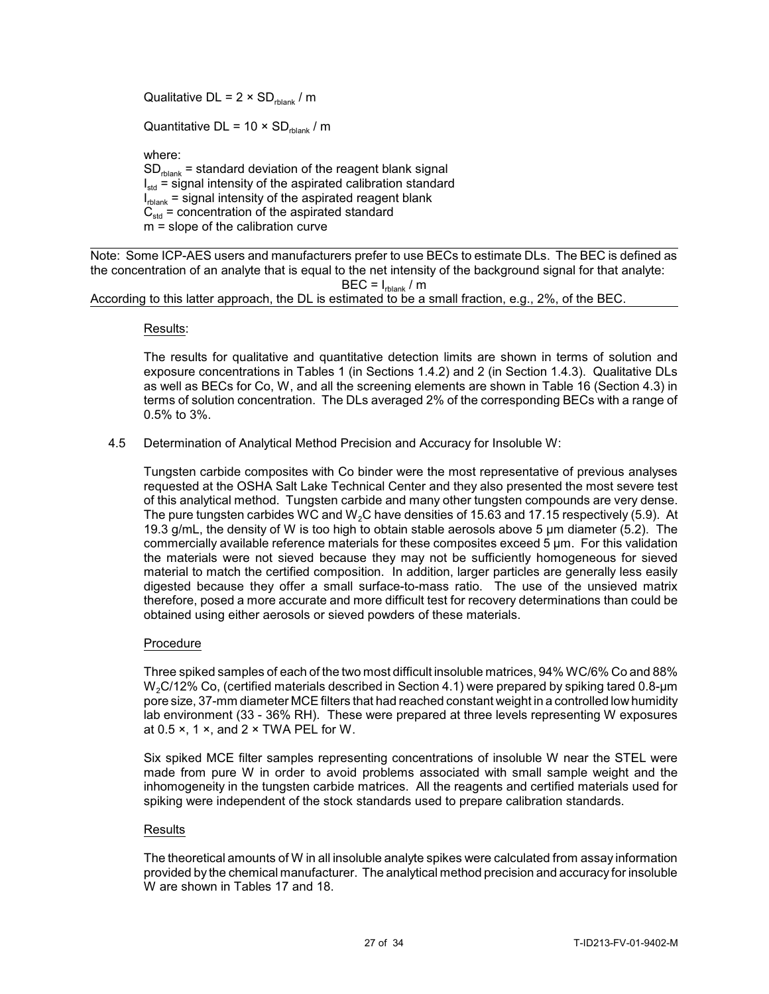Qualitative  $DL = 2 \times SD_{\text{rblank}} / m$ 

Quantitative  $DL = 10 \times SD_{\text{relank}}/m$ 

where:  $SD<sub>relank</sub>$  = standard deviation of the reagent blank signal  $I_{\text{std}}$  = signal intensity of the aspirated calibration standard I rblank = signal intensity of the aspirated reagent blank  $C_{std}$  = concentration of the aspirated standard m = slope of the calibration curve

Note: Some ICP-AES users and manufacturers prefer to use BECs to estimate DLs. The BEC is defined as the concentration of an analyte that is equal to the net intensity of the background signal for that analyte:  $BEC = I_{\text{rblank}} / m$ 

According to this latter approach, the DL is estimated to be a small fraction, e.g., 2%, of the BEC.

## Results:

The results for qualitative and quantitative detection limits are shown in terms of solution and exposure concentrations in Tables 1 (in Sections 1.4.2) and 2 (in Section 1.4.3). Qualitative DLs as well as BECs for Co, W, and all the screening elements are shown in Table 16 (Section 4.3) in terms of solution concentration. The DLs averaged 2% of the corresponding BECs with a range of 0.5% to 3%.

4.5 Determination of Analytical Method Precision and Accuracy for Insoluble W:

Tungsten carbide composites with Co binder were the most representative of previous analyses requested at the OSHA Salt Lake Technical Center and they also presented the most severe test of this analytical method. Tungsten carbide and many other tungsten compounds are very dense. The pure tungsten carbides WC and W<sub>2</sub>C have densities of 15.63 and 17.15 respectively (5.9). At 19.3 g/mL, the density of W is too high to obtain stable aerosols above 5 µm diameter (5.2). The commercially available reference materials for these composites exceed 5 µm. For this validation the materials were not sieved because they may not be sufficiently homogeneous for sieved material to match the certified composition. In addition, larger particles are generally less easily digested because they offer a small surface-to-mass ratio. The use of the unsieved matrix therefore, posed a more accurate and more difficult test for recovery determinations than could be obtained using either aerosols or sieved powders of these materials.

## Procedure

Three spiked samples of each of the two most difficult insoluble matrices, 94% WC/6% Co and 88% W<sub>2</sub>C/12% Co, (certified materials described in Section 4.1) were prepared by spiking tared 0.8-µm pore size, 37-mm diameter MCE filters that had reached constant weight in a controlled low humidity lab environment (33 - 36% RH). These were prepared at three levels representing W exposures at 0.5  $\times$ , 1  $\times$ , and 2  $\times$  TWA PEL for W.

Six spiked MCE filter samples representing concentrations of insoluble W near the STEL were made from pure W in order to avoid problems associated with small sample weight and the inhomogeneity in the tungsten carbide matrices. All the reagents and certified materials used for spiking were independent of the stock standards used to prepare calibration standards.

## Results

The theoretical amounts of W in all insoluble analyte spikes were calculated from assay information provided by the chemical manufacturer. The analytical method precision and accuracy for insoluble W are shown in Tables 17 and 18.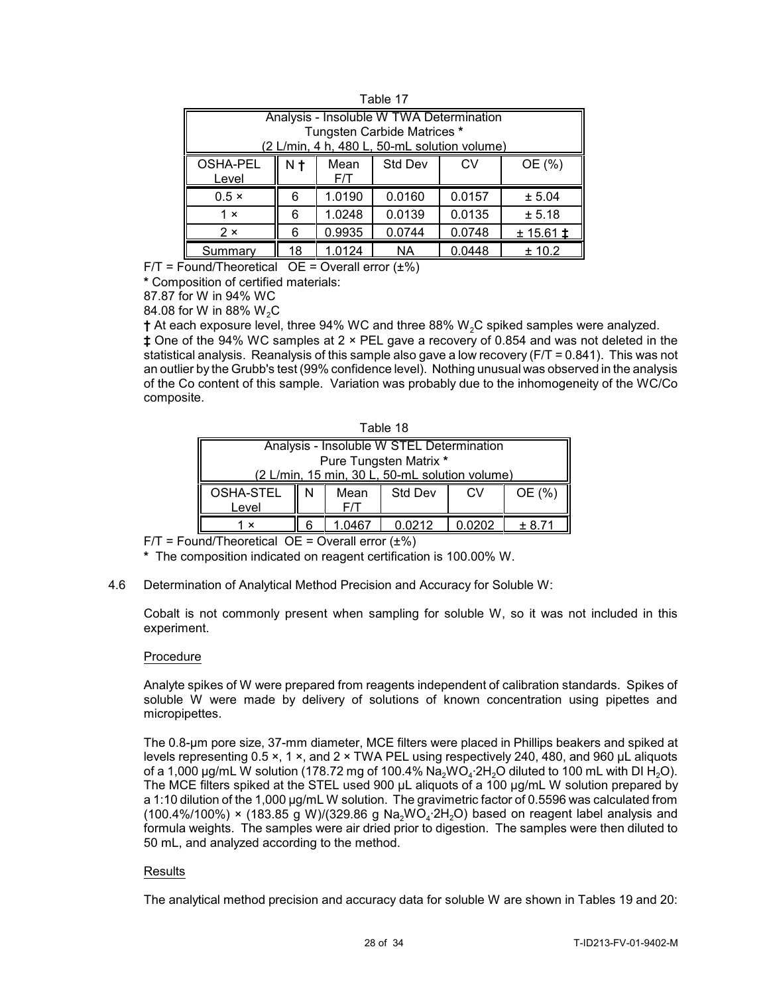| Table 17                                                                                                                |     |             |         |        |               |  |  |  |  |
|-------------------------------------------------------------------------------------------------------------------------|-----|-------------|---------|--------|---------------|--|--|--|--|
| Analysis - Insoluble W TWA Determination<br>Tungsten Carbide Matrices *<br>(2 L/min, 4 h, 480 L, 50-mL solution volume) |     |             |         |        |               |  |  |  |  |
| <b>OSHA-PEL</b><br>Level                                                                                                | N t | Mean<br>F/T | Std Dev | CV     | OE (%)        |  |  |  |  |
| $0.5 \times$                                                                                                            | 6   | 1.0190      | 0.0160  | 0.0157 | ± 5.04        |  |  |  |  |
| $1 \times$                                                                                                              | 6   | 1.0248      | 0.0139  | 0.0135 | ± 5.18        |  |  |  |  |
| $2 \times$                                                                                                              | 6   | 0.9935      | 0.0744  | 0.0748 | $± 15.61 \pm$ |  |  |  |  |
| Summarv                                                                                                                 | 18  | 1.0124      | NA.     | 0.0448 | ± 10.2        |  |  |  |  |

 $\pm$  17  $\pm$ 

 $F/T =$  Found/Theoretical OE = Overall error  $(\pm \%)$ 

**\*** Composition of certified materials:

87.87 for W in 94% WC

84.08 for W in 88% W<sub>2</sub>C

**†** At each exposure level, three 94% WC and three 88% W<sub>2</sub>C spiked samples were analyzed. **‡** One of the 94% WC samples at 2 × PEL gave a recovery of 0.854 and was not deleted in the statistical analysis. Reanalysis of this sample also gave a low recovery (F/T = 0.841). This was not an outlier by the Grubb's test (99% confidence level). Nothing unusual was observed in the analysis of the Co content of this sample. Variation was probably due to the inhomogeneity of the WC/Co composite.

| Table 18  |                                           |      |                                                |        |        |  |  |  |  |
|-----------|-------------------------------------------|------|------------------------------------------------|--------|--------|--|--|--|--|
|           | Analysis - Insoluble W STEL Determination |      |                                                |        |        |  |  |  |  |
|           |                                           |      | Pure Tungsten Matrix *                         |        |        |  |  |  |  |
|           |                                           |      | (2 L/min, 15 min, 30 L, 50-mL solution volume) |        |        |  |  |  |  |
| OSHA-STEL | -N                                        | Mean | <b>Std Dev</b>                                 | CV     | OE (%) |  |  |  |  |
| Level     |                                           |      |                                                |        |        |  |  |  |  |
| ×         |                                           | 0467 | በ በ212                                         | በ በ2በ2 | ± 8.71 |  |  |  |  |

 $F/T$  = Found/Theoretical OE = Overall error  $(\pm\%)$ 

**\*** The composition indicated on reagent certification is 100.00% W.

## 4.6 Determination of Analytical Method Precision and Accuracy for Soluble W:

Cobalt is not commonly present when sampling for soluble W, so it was not included in this experiment.

## Procedure

Analyte spikes of W were prepared from reagents independent of calibration standards. Spikes of soluble W were made by delivery of solutions of known concentration using pipettes and micropipettes.

The 0.8-µm pore size, 37-mm diameter, MCE filters were placed in Phillips beakers and spiked at levels representing 0.5 ×, 1 ×, and 2 × TWA PEL using respectively 240, 480, and 960 µL aliquots of a 1,000  $\mu$ g/mL W solution (178.72 mg of 100.4% Na $_2$ WO $_4$ ·2H $_2$ O diluted to 100 mL with DI H $_2$ O). The MCE filters spiked at the STEL used 900 µL aliquots of a 100 µg/mL W solution prepared by a 1:10 dilution of the 1,000 µg/mL W solution. The gravimetric factor of 0.5596 was calculated from (100.4%/100%) × (183.85 g W)/(329.86 g Na $_2$ WO $_4$ ·2H $_2$ O) based on reagent label analysis and formula weights. The samples were air dried prior to digestion. The samples were then diluted to 50 mL, and analyzed according to the method.

## Results

The analytical method precision and accuracy data for soluble W are shown in Tables 19 and 20: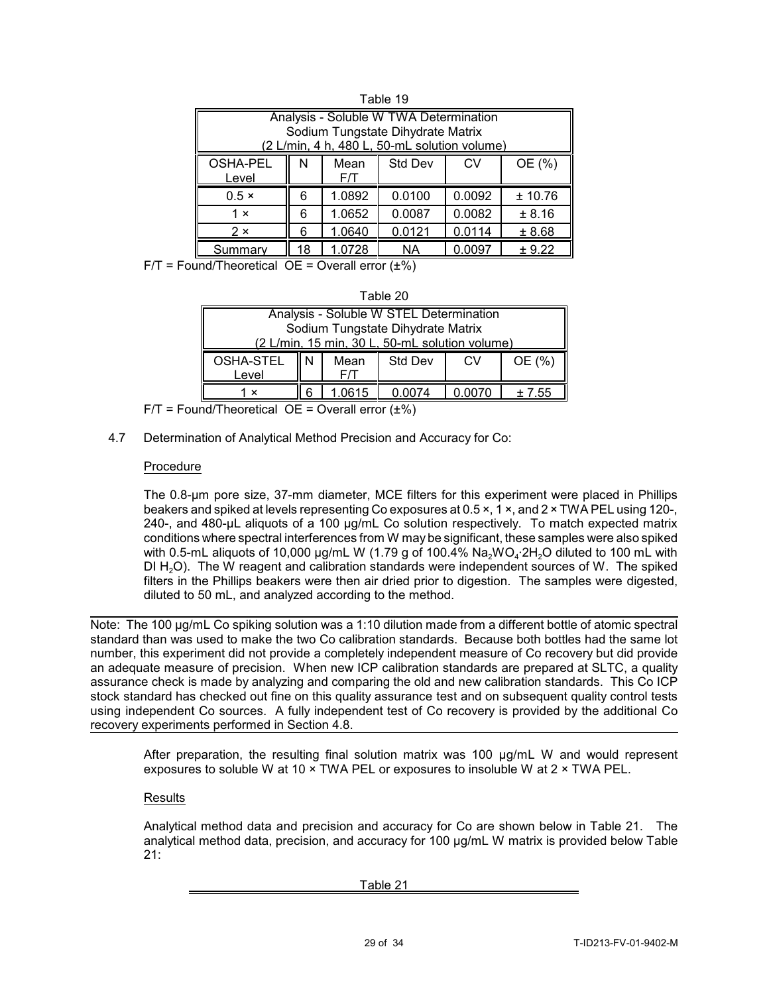| l able 19                                               |    |                                                                                                                             |                |        |         |  |  |  |  |
|---------------------------------------------------------|----|-----------------------------------------------------------------------------------------------------------------------------|----------------|--------|---------|--|--|--|--|
|                                                         |    | Analysis - Soluble W TWA Determination<br>Sodium Tungstate Dihydrate Matrix<br>(2 L/min, 4 h, 480 L, 50-mL solution volume) |                |        |         |  |  |  |  |
| <b>OSHA-PEL</b><br>Level                                | N  | Mean<br>F/T                                                                                                                 | <b>Std Dev</b> | CV     | OE (%)  |  |  |  |  |
| $0.5 \times$                                            | 6  | 1.0892                                                                                                                      | 0.0100         | 0.0092 | ± 10.76 |  |  |  |  |
| 1 x                                                     | 6  | 1.0652                                                                                                                      | 0.0087         | 0.0082 | ± 8.16  |  |  |  |  |
| 0.0114<br>0.0121<br>1.0640<br>± 8.68<br>6<br>$2 \times$ |    |                                                                                                                             |                |        |         |  |  |  |  |
| Summary                                                 | 18 | 1.0728                                                                                                                      | <b>NA</b>      | 0.0097 | ± 9.22  |  |  |  |  |

 $\pm$  19  $\pm$  19  $\pm$ 

 $F/T$  = Found/Theoretical OE = Overall error  $(\pm\%)$ 

| Table 20                                |        |        |                                                |     |        |  |  |  |
|-----------------------------------------|--------|--------|------------------------------------------------|-----|--------|--|--|--|
| Analysis - Soluble W STEL Determination |        |        |                                                |     |        |  |  |  |
| Sodium Tungstate Dihydrate Matrix       |        |        |                                                |     |        |  |  |  |
|                                         |        |        | (2 L/min, 15 min, 30 L, 50-mL solution volume) |     |        |  |  |  |
| OSHA-STEL                               | Ш<br>N | Mean   | Std Dev                                        | CV. | OE (%) |  |  |  |
| Level                                   |        | F/T    |                                                |     |        |  |  |  |
| $\boldsymbol{\mathsf{x}}$               |        | 1 0615 |                                                |     | $-55$  |  |  |  |

 $F/T$  = Found/Theoretical OE = Overall error  $(\pm\%)$ 

## 4.7 Determination of Analytical Method Precision and Accuracy for Co:

## Procedure

The 0.8-µm pore size, 37-mm diameter, MCE filters for this experiment were placed in Phillips beakers and spiked at levels representing Co exposures at 0.5 ×, 1 ×, and 2 × TWA PEL using 120-, 240-, and 480-µL aliquots of a 100 µg/mL Co solution respectively. To match expected matrix conditions where spectral interferences from W may be significant, these samples were also spiked with 0.5-mL aliquots of 10,000  $\mu$ g/mL W (1.79 g of 100.4% Na $_2$ WO $_4$ ·2H $_2$ O diluted to 100 mL with DI H<sub>2</sub>O). The W reagent and calibration standards were independent sources of W. The spiked filters in the Phillips beakers were then air dried prior to digestion. The samples were digested, diluted to 50 mL, and analyzed according to the method.

Note: The 100 µg/mL Co spiking solution was a 1:10 dilution made from a different bottle of atomic spectral standard than was used to make the two Co calibration standards. Because both bottles had the same lot number, this experiment did not provide a completely independent measure of Co recovery but did provide an adequate measure of precision. When new ICP calibration standards are prepared at SLTC, a quality assurance check is made by analyzing and comparing the old and new calibration standards. This Co ICP stock standard has checked out fine on this quality assurance test and on subsequent quality control tests using independent Co sources. A fully independent test of Co recovery is provided by the additional Co recovery experiments performed in Section 4.8.

After preparation, the resulting final solution matrix was 100 µg/mL W and would represent exposures to soluble W at 10 × TWA PEL or exposures to insoluble W at 2 × TWA PEL.

## Results

Analytical method data and precision and accuracy for Co are shown below in Table 21. The analytical method data, precision, and accuracy for 100 µg/mL W matrix is provided below Table 21:

Table 21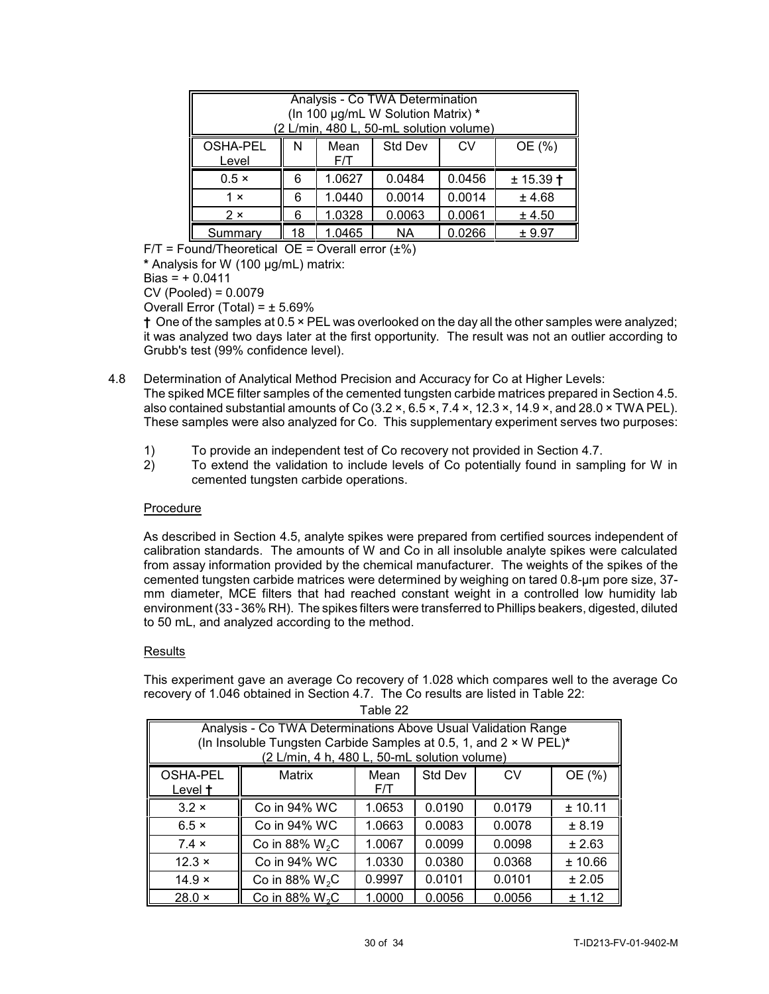| Analysis - Co TWA Determination<br>(In 100 µg/mL W Solution Matrix) *<br>(2 L/min, 480 L, 50-mL solution volume) |                                          |        |        |        |             |
|------------------------------------------------------------------------------------------------------------------|------------------------------------------|--------|--------|--------|-------------|
| OSHA-PEL<br>Level                                                                                                | <b>Std Dev</b><br>Mean<br>CV<br>N<br>F/T |        |        |        | OE (%)      |
| $0.5 \times$                                                                                                     | 6                                        | 1.0627 | 0.0484 | 0.0456 | $± 15.39$ † |
| 1 x                                                                                                              | 6                                        | 1.0440 | 0.0014 | 0.0014 | ± 4.68      |
| 2 x                                                                                                              | 6                                        | 1.0328 | 0.0063 | 0.0061 | ± 4.50      |
| Summarv                                                                                                          | 18                                       | 1.0465 | ΝA     | 0.0266 | ± 9.97      |

 $F/T =$  Found/Theoretical OE = Overall error  $(\pm\%)$ 

**\*** Analysis for W (100 µg/mL) matrix:

 $Bias = +0.0411$ 

CV (Pooled) = 0.0079

Overall Error (Total) =  $\pm$  5.69%

**†** One of the samples at 0.5 × PEL was overlooked on the day all the other samples were analyzed; it was analyzed two days later at the first opportunity. The result was not an outlier according to Grubb's test (99% confidence level).

- 4.8 Determination of Analytical Method Precision and Accuracy for Co at Higher Levels: The spiked MCE filter samples of the cemented tungsten carbide matrices prepared in Section 4.5. also contained substantial amounts of Co  $(3.2 \times 0.6.5 \times 0.7.4 \times 0.14.9 \times 0.14.9 \times 0.04.04 \times 0.04.04)$ These samples were also analyzed for Co. This supplementary experiment serves two purposes:
	- 1) To provide an independent test of Co recovery not provided in Section 4.7.
	- 2) To extend the validation to include levels of Co potentially found in sampling for W in cemented tungsten carbide operations.

## Procedure

 As described in Section 4.5, analyte spikes were prepared from certified sources independent of calibration standards. The amounts of W and Co in all insoluble analyte spikes were calculated from assay information provided by the chemical manufacturer. The weights of the spikes of the cemented tungsten carbide matrices were determined by weighing on tared 0.8-µm pore size, 37 mm diameter, MCE filters that had reached constant weight in a controlled low humidity lab environment (33 - 36% RH). The spikes filters were transferred to Phillips beakers, digested, diluted to 50 mL, and analyzed according to the method.

## **Results**

This experiment gave an average Co recovery of 1.028 which compares well to the average Co recovery of 1.046 obtained in Section 4.7. The Co results are listed in Table 22:

| l avit ZZ                                                                                                                                                                          |                            |             |         |        |         |  |
|------------------------------------------------------------------------------------------------------------------------------------------------------------------------------------|----------------------------|-------------|---------|--------|---------|--|
| Analysis - Co TWA Determinations Above Usual Validation Range<br>(In Insoluble Tungsten Carbide Samples at 0.5, 1, and 2 x W PEL)*<br>(2 L/min, 4 h, 480 L, 50-mL solution volume) |                            |             |         |        |         |  |
| <b>OSHA-PEL</b><br>Level t                                                                                                                                                         | Matrix                     | Mean<br>F/T | Std Dev |        | OE (%)  |  |
| $3.2 \times$                                                                                                                                                                       | Co in 94% WC               | 1.0653      | 0.0190  | 0.0179 | ± 10.11 |  |
| $6.5 \times$                                                                                                                                                                       | Co in 94% WC               | 1.0663      | 0.0083  | 0.0078 | ± 8.19  |  |
| $7.4 \times$                                                                                                                                                                       | Co in 88% $W_2C$           | 1.0067      | 0.0099  | 0.0098 | ± 2.63  |  |
| $12.3 \times$                                                                                                                                                                      | Co in 94% WC               | 1.0330      | 0.0380  | 0.0368 | ± 10.66 |  |
| $14.9 \times$                                                                                                                                                                      | Co in 88% $W_2C$           | 0.9997      | 0.0101  | 0.0101 | ± 2.05  |  |
| $28.0 \times$                                                                                                                                                                      | Co in 88% W <sub>2</sub> C | 1.0000      | 0.0056  | 0.0056 | ± 1.12  |  |

Table 22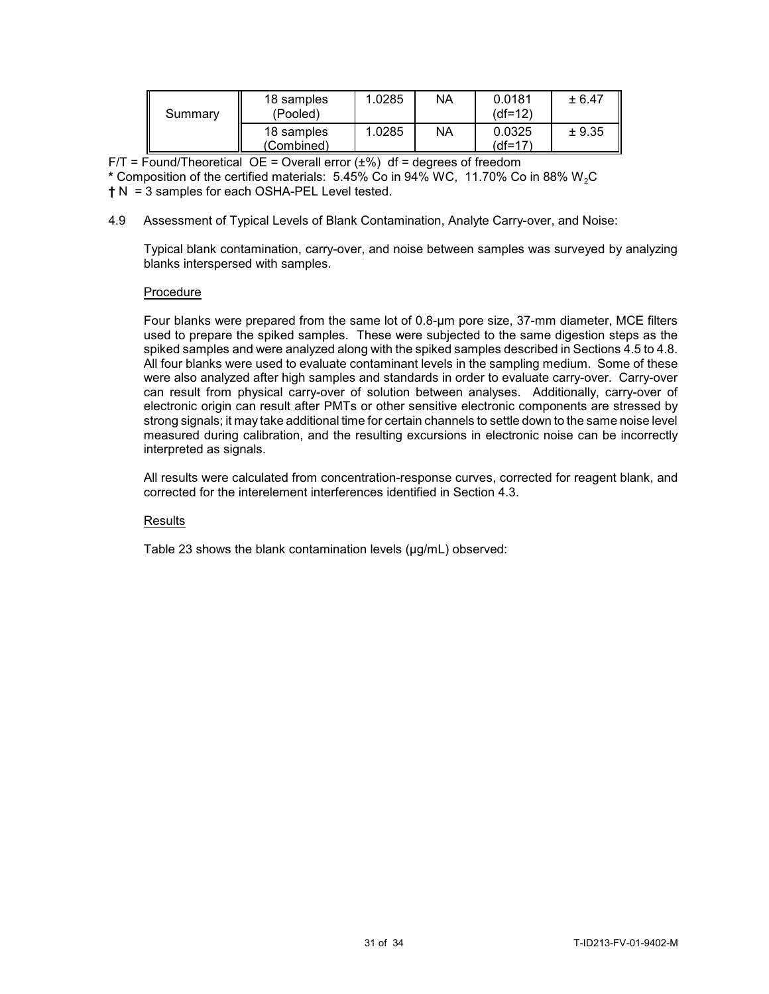| Summary | 18 samples<br>(Pooled)   | .0285  | <b>NA</b> | 0.0181<br>(df=12)   | ± 6.47 |
|---------|--------------------------|--------|-----------|---------------------|--------|
|         | 18 samples<br>(Combined) | 1.0285 | <b>NA</b> | 0.0325<br>$(df=17)$ | ± 9.35 |

 $F/T$  = Found/Theoretical OE = Overall error ( $\pm\%$ ) df = degrees of freedom

**\*** Composition of the certified materials: 5.45% Co in 94% WC, 11.70% Co in 88% W2C

**†** N = 3 samples for each OSHA-PEL Level tested.

4.9 Assessment of Typical Levels of Blank Contamination, Analyte Carry-over, and Noise:

Typical blank contamination, carry-over, and noise between samples was surveyed by analyzing blanks interspersed with samples.

## Procedure

Four blanks were prepared from the same lot of 0.8-µm pore size, 37-mm diameter, MCE filters used to prepare the spiked samples. These were subjected to the same digestion steps as the spiked samples and were analyzed along with the spiked samples described in Sections 4.5 to 4.8. All four blanks were used to evaluate contaminant levels in the sampling medium. Some of these were also analyzed after high samples and standards in order to evaluate carry-over. Carry-over can result from physical carry-over of solution between analyses. Additionally, carry-over of electronic origin can result after PMTs or other sensitive electronic components are stressed by strong signals; it may take additional time for certain channels to settle down to the same noise level measured during calibration, and the resulting excursions in electronic noise can be incorrectly interpreted as signals.

All results were calculated from concentration-response curves, corrected for reagent blank, and corrected for the interelement interferences identified in Section 4.3.

## **Results**

Table 23 shows the blank contamination levels ( $\mu q/mL$ ) observed: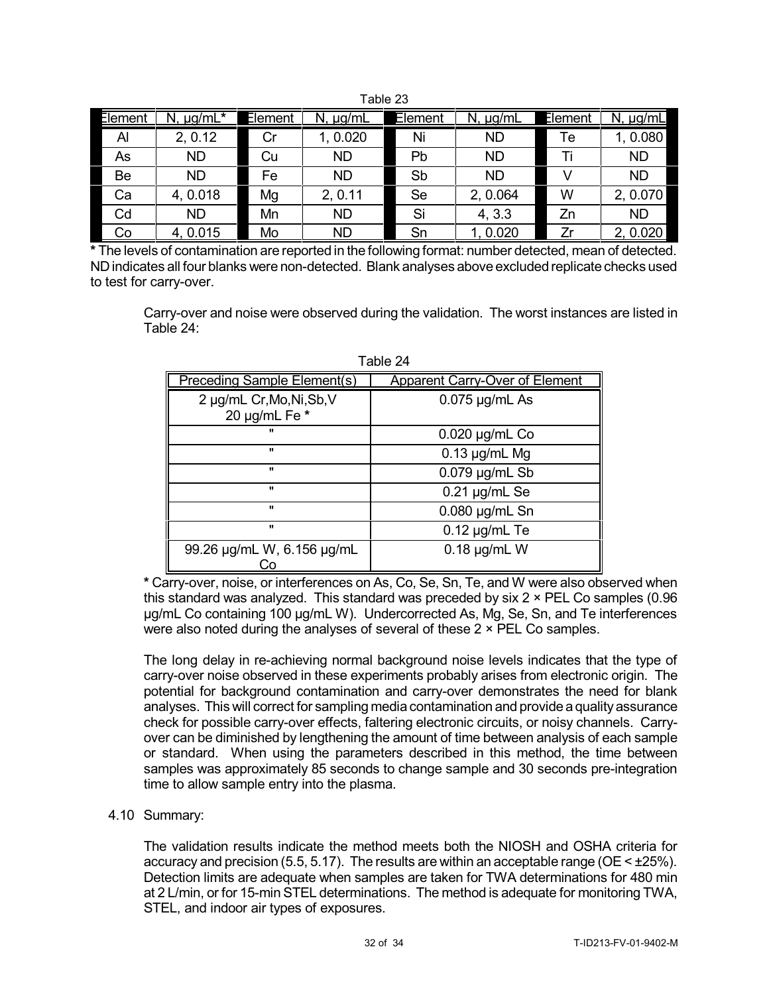| aule zu |                  |         |               |         |                  |         |            |
|---------|------------------|---------|---------------|---------|------------------|---------|------------|
| Element | $\mu$ g/mL*<br>N | Element | $N, \mu g/mL$ | Element | $\mu$ g/mL<br>N. | Element | $\mu$ g/mL |
| Al      | 2, 0.12          | Cr      | 1, 0.020      | Ni      | <b>ND</b>        | Tе      | , 0.080    |
| As      | <b>ND</b>        | Cu      | <b>ND</b>     | Pb      | <b>ND</b>        |         | <b>ND</b>  |
| Be      | <b>ND</b>        | Fe      | <b>ND</b>     | Sb      | <b>ND</b>        |         | <b>ND</b>  |
| Ca      | 4, 0.018         | Mg      | 2, 0.11       | Se      | 2, 0.064         | W       | 2, 0.070   |
| Cd      | <b>ND</b>        | Mn      | <b>ND</b>     | Si      | 4, 3.3           | Zn      | <b>ND</b>  |
| Co      | 4, 0.015         | Mo      | <b>ND</b>     | Sn      | 1, 0.020         |         | 2, 0.020   |

Table 22

**\*** The levels of contamination are reported in the following format: number detected, mean of detected. ND indicates all four blanks were non-detected. Blank analyses above excluded replicate checks used to test for carry-over.

Carry-over and noise were observed during the validation. The worst instances are listed in Table 24:

|                                            | i avie z+                      |  |  |
|--------------------------------------------|--------------------------------|--|--|
| <b>Preceding Sample Element(s)</b>         | Apparent Carry-Over of Element |  |  |
| 2 µg/mL Cr, Mo, Ni, Sb, V<br>20 µg/mL Fe * | $0.075$ µg/mL As               |  |  |
| "                                          | $0.020$ µg/mL Co               |  |  |
| π                                          | $0.13 \mu g/mL$ Mg             |  |  |
| $\mathbf{H}$                               | $0.079$ µg/mL Sb               |  |  |
| $\mathbf{H}$                               | $0.21 \mu g/mL$ Se             |  |  |
| $\mathbf{H}$                               | 0.080 µg/mL Sn                 |  |  |
| $\mathbf{u}$                               | $0.12 \mu g/mL$ Te             |  |  |
| 99.26 µg/mL W, 6.156 µg/mL<br>Co           | $0.18 \mu g/mL$ W              |  |  |

Table 24

**\*** Carry-over, noise, or interferences on As, Co, Se, Sn, Te, and W were also observed when this standard was analyzed. This standard was preceded by six  $2 \times$  PEL Co samples (0.96) µg/mL Co containing 100 µg/mL W). Undercorrected As, Mg, Se, Sn, and Te interferences were also noted during the analyses of several of these 2  $\times$  PEL Co samples.

The long delay in re-achieving normal background noise levels indicates that the type of carry-over noise observed in these experiments probably arises from electronic origin. The potential for background contamination and carry-over demonstrates the need for blank analyses. This will correct for sampling media contamination and provide a quality assurance check for possible carry-over effects, faltering electronic circuits, or noisy channels. Carryover can be diminished by lengthening the amount of time between analysis of each sample or standard. When using the parameters described in this method, the time between samples was approximately 85 seconds to change sample and 30 seconds pre-integration time to allow sample entry into the plasma.

# 4.10 Summary:

The validation results indicate the method meets both the NIOSH and OSHA criteria for accuracy and precision (5.5, 5.17). The results are within an acceptable range ( $OE <  $\pm$ 25%).$ Detection limits are adequate when samples are taken for TWA determinations for 480 min at 2 L/min, or for 15-min STEL determinations. The method is adequate for monitoring TWA, STEL, and indoor air types of exposures.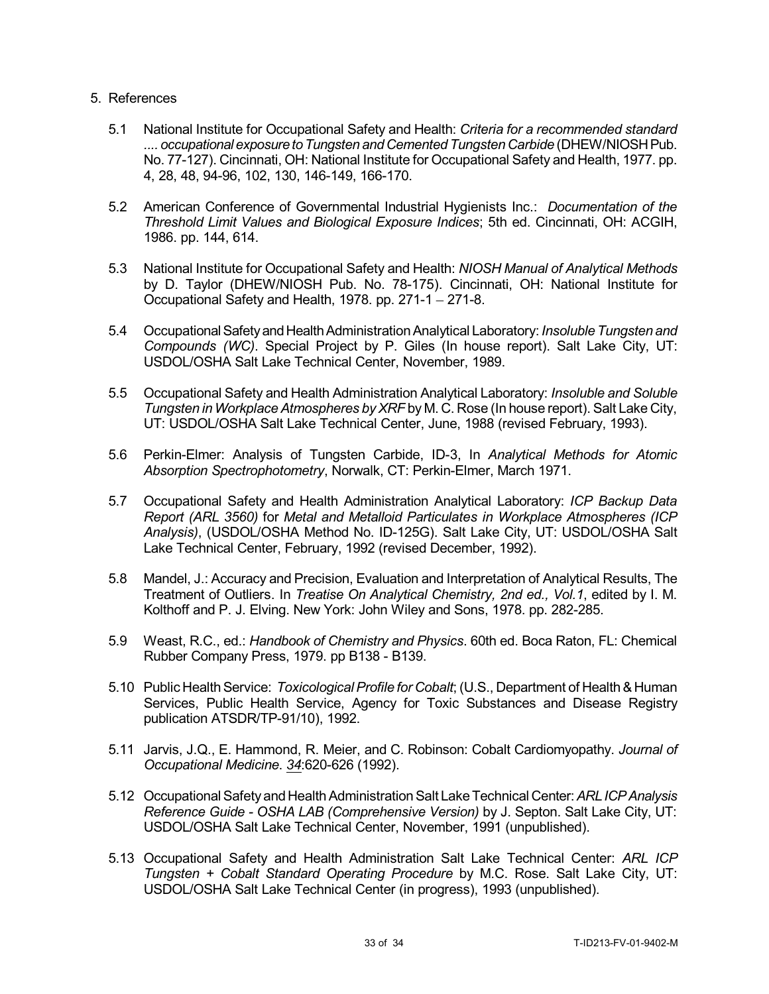## 5. References

- 5.1 National Institute for Occupational Safety and Health: *Criteria for a recommended standard* .... *occupational exposure to Tungsten and Cemented Tungsten Carbide* (DHEW/NIOSH Pub. No. 77-127). Cincinnati, OH: National Institute for Occupational Safety and Health, 1977. pp. 4, 28, 48, 94-96, 102, 130, 146-149, 166-170.
- 5.2 American Conference of Governmental Industrial Hygienists Inc.: *Documentation of the Threshold Limit Values and Biological Exposure Indices*; 5th ed. Cincinnati, OH: ACGIH, 1986. pp. 144, 614.
- 5.3 National Institute for Occupational Safety and Health: *NIOSH Manual of Analytical Methods* by D. Taylor (DHEW/NIOSH Pub. No. 78-175). Cincinnati, OH: National Institute for Occupational Safety and Health, 1978. pp.  $271-1 - 271-8$ .
- 5.4 OccupationalSafetyandHealthAdministrationAnalytical Laboratory: *InsolubleTungsten and Compounds (WC)*. Special Project by P. Giles (In house report). Salt Lake City, UT: USDOL/OSHA Salt Lake Technical Center, November, 1989.
- 5.5 Occupational Safety and Health Administration Analytical Laboratory: *Insoluble and Soluble Tungsten inWorkplaceAtmospheres by XRF* by M. C. Rose (In house report). Salt Lake City, UT: USDOL/OSHA Salt Lake Technical Center, June, 1988 (revised February, 1993).
- 5.6 Perkin-Elmer: Analysis of Tungsten Carbide, ID-3, In *Analytical Methods for Atomic Absorption Spectrophotometry*, Norwalk, CT: Perkin-Elmer, March 1971.
- 5.7 Occupational Safety and Health Administration Analytical Laboratory: *ICP Backup Data Report (ARL 3560)* for *Metal and Metalloid Particulates in Workplace Atmospheres (ICP Analysis)*, (USDOL/OSHA Method No. ID-125G). Salt Lake City, UT: USDOL/OSHA Salt Lake Technical Center, February, 1992 (revised December, 1992).
- 5.8 Mandel, J.: Accuracy and Precision, Evaluation and Interpretation of Analytical Results, The Treatment of Outliers. In *Treatise On Analytical Chemistry, 2nd ed., Vol.1*, edited by I. M. Kolthoff and P. J. Elving. New York: John Wiley and Sons, 1978. pp. 282-285.
- 5.9 Weast, R.C., ed.: *Handbook of Chemistry and Physics*. 60th ed. Boca Raton, FL: Chemical Rubber Company Press, 1979. pp B138 - B139.
- 5.10 Public HealthService: *Toxicological Profile for Cobalt*; (U.S., Department of Health& Human Services, Public Health Service, Agency for Toxic Substances and Disease Registry publication ATSDR/TP-91/10), 1992.
- 5.11 Jarvis, J.Q., E. Hammond, R. Meier, and C. Robinson: Cobalt Cardiomyopathy. *Journal of Occupational Medicine*. *34*:620-626 (1992).
- 5.12 Occupational SafetyandHealthAdministrationSalt LakeTechnical Center:*ARLICPAnalysis Reference Guide - OSHA LAB (Comprehensive Version)* by J. Septon. Salt Lake City, UT: USDOL/OSHA Salt Lake Technical Center, November, 1991 (unpublished).
- 5.13 Occupational Safety and Health Administration Salt Lake Technical Center: *ARL ICP Tungsten + Cobalt Standard Operating Procedure* by M.C. Rose. Salt Lake City, UT: USDOL/OSHA Salt Lake Technical Center (in progress), 1993 (unpublished).